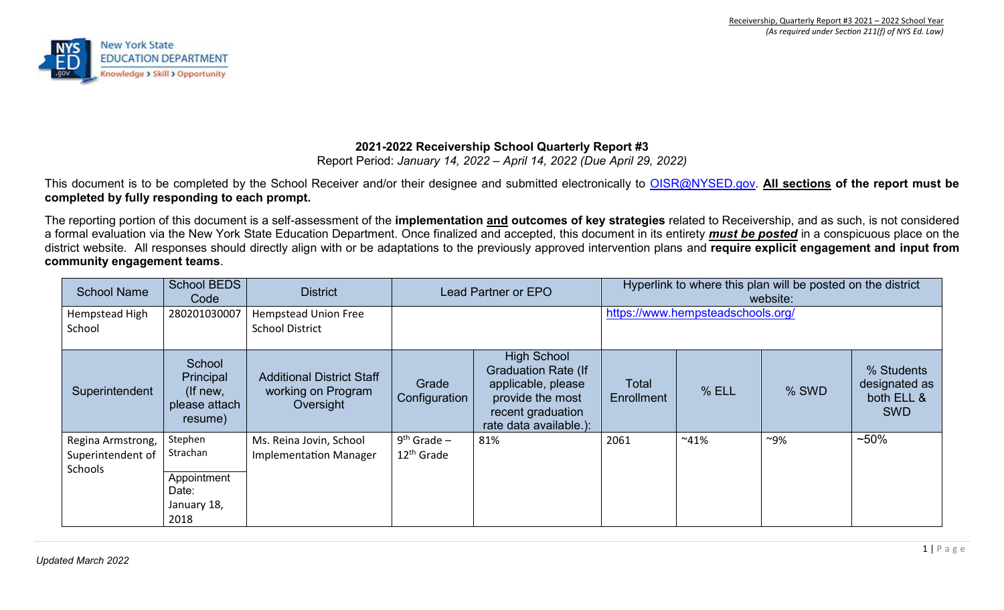

# **2021-2022 Receivership School Quarterly Report #3**

Report Period: *January 14, 2022 – April 14, 2022 (Due April 29, 2022)* 

This document is to be completed by the School Receiver and/or their designee and submitted electronically to OISR@NYSED.gov. **All sections of the report must be completed by fully responding to each prompt.** 

The reporting portion of this document is a self-assessment of the **implementation and outcomes of key strategies** related to Receivership, and as such, is not considered a formal evaluation via the New York State Education Department. Once finalized and accepted, this document in its entirety *must be posted* in a conspicuous place on the district website. All responses should directly align with or be adaptations to the previously approved intervention plans and **require explicit engagement and input from community engagement teams**.

| <b>School Name</b>                                | <b>School BEDS</b><br>Code                                         | <b>District</b>                                                     | Lead Partner or EPO                     |                                                                                                                                           |                                   | Hyperlink to where this plan will be posted on the district<br>website: |        |                                                         |  |  |
|---------------------------------------------------|--------------------------------------------------------------------|---------------------------------------------------------------------|-----------------------------------------|-------------------------------------------------------------------------------------------------------------------------------------------|-----------------------------------|-------------------------------------------------------------------------|--------|---------------------------------------------------------|--|--|
| Hempstead High<br>School                          | 280201030007                                                       | <b>Hempstead Union Free</b><br><b>School District</b>               |                                         |                                                                                                                                           | https://www.hempsteadschools.org/ |                                                                         |        |                                                         |  |  |
| Superintendent                                    | School<br>Principal<br>(If new,<br>please attach<br>resume)        | <b>Additional District Staff</b><br>working on Program<br>Oversight | Grade<br>Configuration                  | <b>High School</b><br><b>Graduation Rate (If</b><br>applicable, please<br>provide the most<br>recent graduation<br>rate data available.): | <b>Total</b><br>Enrollment        | % ELL                                                                   | % SWD  | % Students<br>designated as<br>both ELL &<br><b>SWD</b> |  |  |
| Regina Armstrong,<br>Superintendent of<br>Schools | Stephen<br>Strachan<br>Appointment<br>Date:<br>January 18,<br>2018 | Ms. Reina Jovin, School<br><b>Implementation Manager</b>            | $9th$ Grade –<br>12 <sup>th</sup> Grade | 81%                                                                                                                                       | 2061                              | $~41\%$                                                                 | $~9\%$ | $~50\%$                                                 |  |  |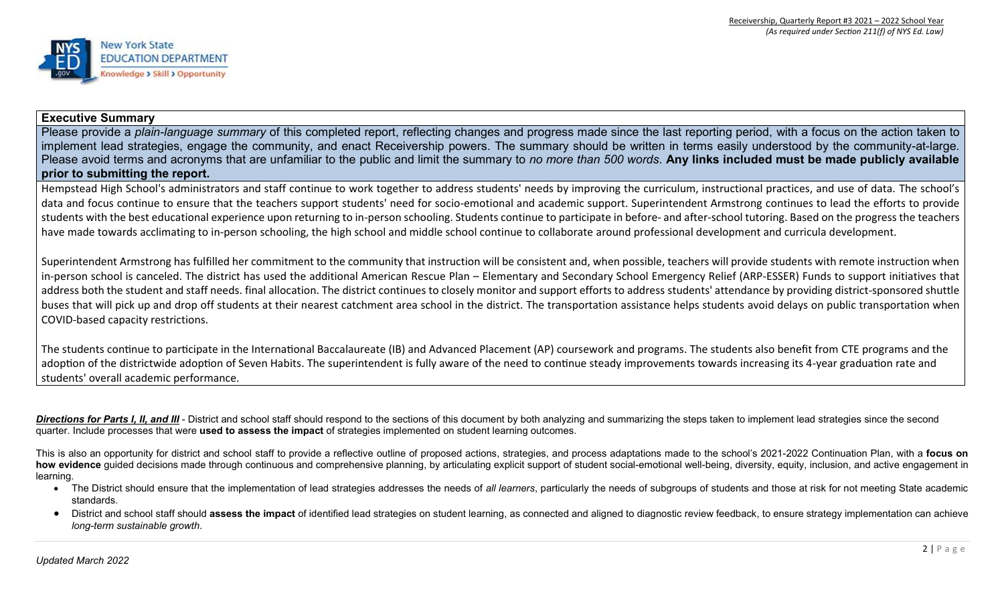

#### **Executive Summary**

Please provide a *plain-language summary* of this completed report, reflecting changes and progress made since the last reporting period, with a focus on the action taken to implement lead strategies, engage the community, and enact Receivership powers. The summary should be written in terms easily understood by the community-at-large. Please avoid terms and acronyms that are unfamiliar to the public and limit the summary to *no more than 500 words*. **Any links included must be made publicly available prior to submitting the report.**

Hempstead High School's administrators and staff continue to work together to address students' needs by improving the curriculum, instructional practices, and use of data. The school's data and focus continue to ensure that the teachers support students' need for socio-emotional and academic support. Superintendent Armstrong continues to lead the efforts to provide students with the best educational experience upon returning to in-person schooling. Students continue to participate in before- and after-school tutoring. Based on the progress the teachers have made towards acclimating to in-person schooling, the high school and middle school continue to collaborate around professional development and curricula development.

Superintendent Armstrong has fulfilled her commitment to the community that instruction will be consistent and, when possible, teachers will provide students with remote instruction when in-person school is canceled. The district has used the additional American Rescue Plan – Elementary and Secondary School Emergency Relief (ARP-ESSER) Funds to support initiatives that address both the student and staff needs. final allocation. The district continues to closely monitor and support efforts to address students' attendance by providing district-sponsored shuttle buses that will pick up and drop off students at their nearest catchment area school in the district. The transportation assistance helps students avoid delays on public transportation when COVID-based capacity restrictions.

The students continue to participate in the International Baccalaureate (IB) and Advanced Placement (AP) coursework and programs. The students also benefit from CTE programs and the adoption of the districtwide adoption of Seven Habits. The superintendent is fully aware of the need to continue steady improvements towards increasing its 4-year graduation rate and students' overall academic performance.

**Directions for Parts I, II, and III** - District and school staff should respond to the sections of this document by both analyzing and summarizing the steps taken to implement lead strategies since the second quarter. Include processes that were **used to assess the impact** of strategies implemented on student learning outcomes.

This is also an opportunity for district and school staff to provide a reflective outline of proposed actions, strategies, and process adaptations made to the school's 2021-2022 Continuation Plan, with a **focus on how evidence** guided decisions made through continuous and comprehensive planning, by articulating explicit support of student social-emotional well-being, diversity, equity, inclusion, and active engagement in learning.

- The District should ensure that the implementation of lead strategies addresses the needs of all learners, particularly the needs of subgroups of students and those at risk for not meeting State academic standards.
- District and school staff should **assess the impact** of identified lead strategies on student learning, as connected and aligned to diagnostic review feedback, to ensure strategy implementation can achieve *long-term sustainable growth*.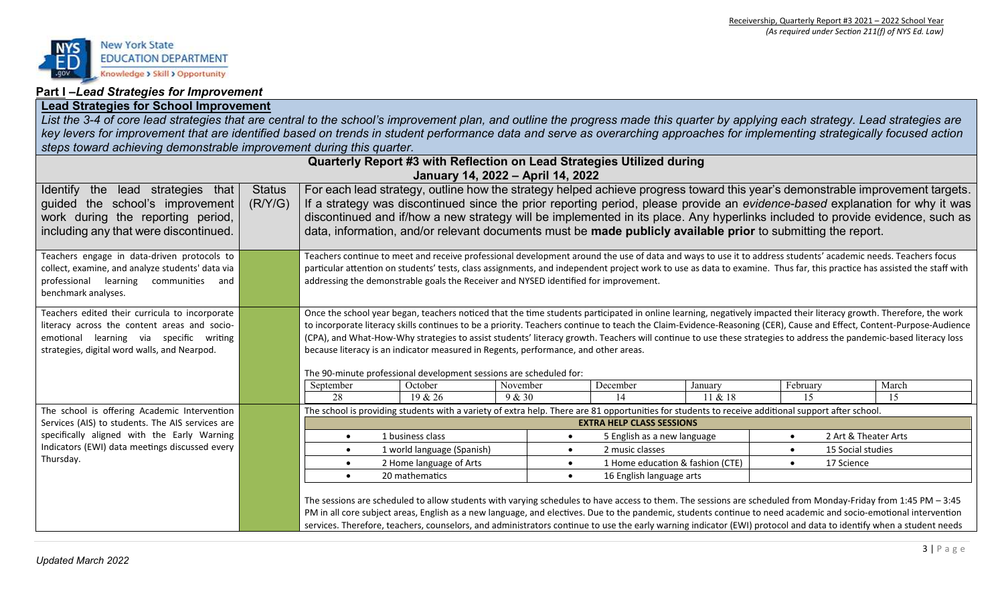

#### **Part I –***Lead Strategies for Improvement*

### **Lead Strategies for School Improvement**

*List the 3-4 of core lead strategies that are central to the school's improvement plan, and outline the progress made this quarter by applying each strategy. Lead strategies are key levers for improvement that are identified based on trends in student performance data and serve as overarching approaches for implementing strategically focused action steps toward achieving demonstrable improvement during this quarter.* 

|                                                                                                                                                                                           |                          |                                                                                                                                                                                                                                                                                                                                                                                                                                                                                                                                                                                                                                                                                | Quarterly Report #3 with Reflection on Lead Strategies Utilized during<br>January 14, 2022 - April 14, 2022                                                                                                                                                                                                                                                                                                                                                                                             |                    |           |                                  |                                  |                         |                                                                                                                                                                                                                                                                                                                                                                                                |
|-------------------------------------------------------------------------------------------------------------------------------------------------------------------------------------------|--------------------------|--------------------------------------------------------------------------------------------------------------------------------------------------------------------------------------------------------------------------------------------------------------------------------------------------------------------------------------------------------------------------------------------------------------------------------------------------------------------------------------------------------------------------------------------------------------------------------------------------------------------------------------------------------------------------------|---------------------------------------------------------------------------------------------------------------------------------------------------------------------------------------------------------------------------------------------------------------------------------------------------------------------------------------------------------------------------------------------------------------------------------------------------------------------------------------------------------|--------------------|-----------|----------------------------------|----------------------------------|-------------------------|------------------------------------------------------------------------------------------------------------------------------------------------------------------------------------------------------------------------------------------------------------------------------------------------------------------------------------------------------------------------------------------------|
| lead strategies that<br><b>Identify</b><br>the<br>guided the school's improvement<br>work during the reporting period,<br>including any that were discontinued.                           | <b>Status</b><br>(R/Y/G) |                                                                                                                                                                                                                                                                                                                                                                                                                                                                                                                                                                                                                                                                                | data, information, and/or relevant documents must be made publicly available prior to submitting the report.                                                                                                                                                                                                                                                                                                                                                                                            |                    |           |                                  |                                  |                         | For each lead strategy, outline how the strategy helped achieve progress toward this year's demonstrable improvement targets.<br>If a strategy was discontinued since the prior reporting period, please provide an evidence-based explanation for why it was<br>discontinued and if/how a new strategy will be implemented in its place. Any hyperlinks included to provide evidence, such as |
| Teachers engage in data-driven protocols to<br>collect, examine, and analyze students' data via<br>professional learning communities<br>and<br>benchmark analyses.                        |                          |                                                                                                                                                                                                                                                                                                                                                                                                                                                                                                                                                                                                                                                                                | Teachers continue to meet and receive professional development around the use of data and ways to use it to address students' academic needs. Teachers focus<br>particular attention on students' tests, class assignments, and independent project work to use as data to examine. Thus far, this practice has assisted the staff with<br>addressing the demonstrable goals the Receiver and NYSED identified for improvement.                                                                         |                    |           |                                  |                                  |                         |                                                                                                                                                                                                                                                                                                                                                                                                |
| Teachers edited their curricula to incorporate<br>literacy across the content areas and socio-<br>emotional learning via specific writing<br>strategies, digital word walls, and Nearpod. |                          | Once the school year began, teachers noticed that the time students participated in online learning, negatively impacted their literacy growth. Therefore, the work<br>to incorporate literacy skills continues to be a priority. Teachers continue to teach the Claim-Evidence-Reasoning (CER), Cause and Effect, Content-Purpose-Audience<br>(CPA), and What-How-Why strategies to assist students' literacy growth. Teachers will continue to use these strategies to address the pandemic-based literacy loss<br>because literacy is an indicator measured in Regents, performance, and other areas.<br>The 90-minute professional development sessions are scheduled for: |                                                                                                                                                                                                                                                                                                                                                                                                                                                                                                         |                    |           |                                  |                                  |                         |                                                                                                                                                                                                                                                                                                                                                                                                |
|                                                                                                                                                                                           |                          | September<br>28                                                                                                                                                                                                                                                                                                                                                                                                                                                                                                                                                                                                                                                                | October                                                                                                                                                                                                                                                                                                                                                                                                                                                                                                 | November<br>9 & 30 |           | December<br>14                   | January<br>11 & 18               | February<br>15          | March                                                                                                                                                                                                                                                                                                                                                                                          |
| The school is offering Academic Intervention                                                                                                                                              |                          |                                                                                                                                                                                                                                                                                                                                                                                                                                                                                                                                                                                                                                                                                | 19 & 26<br>The school is providing students with a variety of extra help. There are 81 opportunities for students to receive additional support after school.                                                                                                                                                                                                                                                                                                                                           |                    |           |                                  |                                  |                         | 15                                                                                                                                                                                                                                                                                                                                                                                             |
| Services (AIS) to students. The AIS services are                                                                                                                                          |                          |                                                                                                                                                                                                                                                                                                                                                                                                                                                                                                                                                                                                                                                                                |                                                                                                                                                                                                                                                                                                                                                                                                                                                                                                         |                    |           | <b>EXTRA HELP CLASS SESSIONS</b> |                                  |                         |                                                                                                                                                                                                                                                                                                                                                                                                |
| specifically aligned with the Early Warning                                                                                                                                               |                          | $\bullet$                                                                                                                                                                                                                                                                                                                                                                                                                                                                                                                                                                                                                                                                      | 1 business class                                                                                                                                                                                                                                                                                                                                                                                                                                                                                        |                    | $\bullet$ | 5 English as a new language      |                                  | $\bullet$               | 2 Art & Theater Arts                                                                                                                                                                                                                                                                                                                                                                           |
| Indicators (EWI) data meetings discussed every                                                                                                                                            |                          | $\bullet$                                                                                                                                                                                                                                                                                                                                                                                                                                                                                                                                                                                                                                                                      | 1 world language (Spanish)                                                                                                                                                                                                                                                                                                                                                                                                                                                                              |                    | $\bullet$ | 2 music classes                  |                                  |                         | 15 Social studies                                                                                                                                                                                                                                                                                                                                                                              |
| Thursday.                                                                                                                                                                                 |                          | $\bullet$                                                                                                                                                                                                                                                                                                                                                                                                                                                                                                                                                                                                                                                                      | 2 Home language of Arts                                                                                                                                                                                                                                                                                                                                                                                                                                                                                 |                    | $\bullet$ |                                  | 1 Home education & fashion (CTE) | 17 Science<br>$\bullet$ |                                                                                                                                                                                                                                                                                                                                                                                                |
|                                                                                                                                                                                           |                          | $\bullet$                                                                                                                                                                                                                                                                                                                                                                                                                                                                                                                                                                                                                                                                      | 20 mathematics                                                                                                                                                                                                                                                                                                                                                                                                                                                                                          |                    | $\bullet$ | 16 English language arts         |                                  |                         |                                                                                                                                                                                                                                                                                                                                                                                                |
|                                                                                                                                                                                           |                          |                                                                                                                                                                                                                                                                                                                                                                                                                                                                                                                                                                                                                                                                                | The sessions are scheduled to allow students with varying schedules to have access to them. The sessions are scheduled from Monday-Friday from 1:45 PM - 3:45<br>PM in all core subject areas, English as a new language, and electives. Due to the pandemic, students continue to need academic and socio-emotional intervention<br>services. Therefore, teachers, counselors, and administrators continue to use the early warning indicator (EWI) protocol and data to identify when a student needs |                    |           |                                  |                                  |                         |                                                                                                                                                                                                                                                                                                                                                                                                |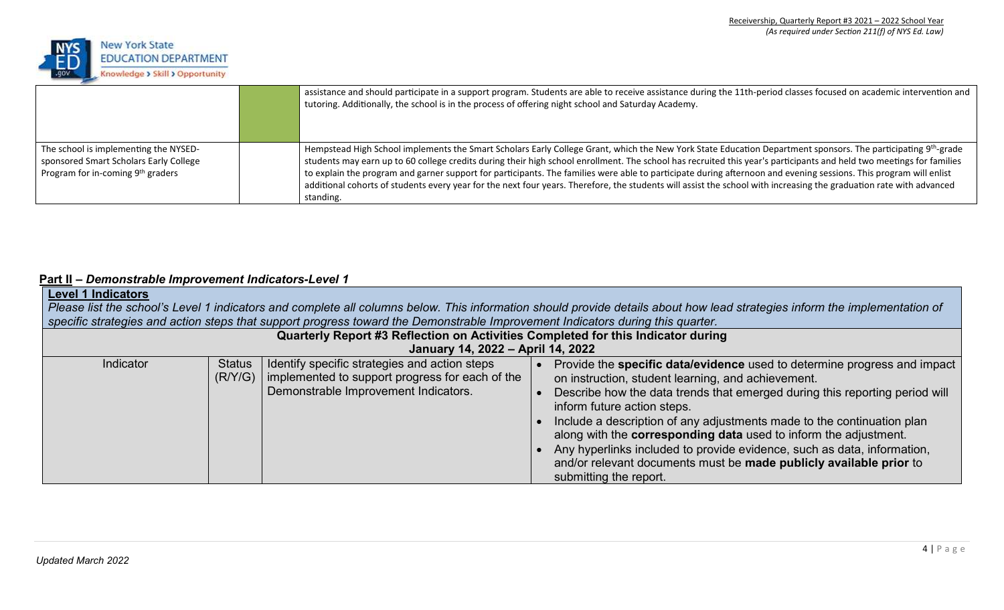

|                                                                                                                                  | assistance and should participate in a support program. Students are able to receive assistance during the 11th-period classes focused on academic intervention and<br>tutoring. Additionally, the school is in the process of offering night school and Saturday Academy.                                                                                                                                                                                                                                                                                                                                                                                                                                 |
|----------------------------------------------------------------------------------------------------------------------------------|------------------------------------------------------------------------------------------------------------------------------------------------------------------------------------------------------------------------------------------------------------------------------------------------------------------------------------------------------------------------------------------------------------------------------------------------------------------------------------------------------------------------------------------------------------------------------------------------------------------------------------------------------------------------------------------------------------|
| The school is implementing the NYSED-<br>sponsored Smart Scholars Early College<br>Program for in-coming 9 <sup>th</sup> graders | Hempstead High School implements the Smart Scholars Early College Grant, which the New York State Education Department sponsors. The participating 9 <sup>th</sup> -grade<br>students may earn up to 60 college credits during their high school enrollment. The school has recruited this year's participants and held two meetings for families<br>to explain the program and garner support for participants. The families were able to participate during afternoon and evening sessions. This program will enlist<br>additional cohorts of students every year for the next four years. Therefore, the students will assist the school with increasing the graduation rate with advanced<br>standing. |

### **Part II –** *Demonstrable Improvement Indicators-Level 1*

| <b>Level 1 Indicators</b>                                                        | specific strategies and action steps that support progress toward the Demonstrable Improvement Indicators during this quarter.           | Please list the school's Level 1 indicators and complete all columns below. This information should provide details about how lead strategies inform the implementation of                                                                                                                                                                                                                                                                                                                                                                                                   |  |  |  |  |  |  |
|----------------------------------------------------------------------------------|------------------------------------------------------------------------------------------------------------------------------------------|------------------------------------------------------------------------------------------------------------------------------------------------------------------------------------------------------------------------------------------------------------------------------------------------------------------------------------------------------------------------------------------------------------------------------------------------------------------------------------------------------------------------------------------------------------------------------|--|--|--|--|--|--|
| Quarterly Report #3 Reflection on Activities Completed for this Indicator during |                                                                                                                                          |                                                                                                                                                                                                                                                                                                                                                                                                                                                                                                                                                                              |  |  |  |  |  |  |
|                                                                                  | January 14, 2022 - April 14, 2022                                                                                                        |                                                                                                                                                                                                                                                                                                                                                                                                                                                                                                                                                                              |  |  |  |  |  |  |
| Indicator<br><b>Status</b><br>(R/Y/G)                                            | Identify specific strategies and action steps<br>implemented to support progress for each of the<br>Demonstrable Improvement Indicators. | Provide the specific data/evidence used to determine progress and impact<br>on instruction, student learning, and achievement.<br>Describe how the data trends that emerged during this reporting period will<br>inform future action steps.<br>Include a description of any adjustments made to the continuation plan<br>along with the <b>corresponding data</b> used to inform the adjustment.<br>Any hyperlinks included to provide evidence, such as data, information,<br>and/or relevant documents must be made publicly available prior to<br>submitting the report. |  |  |  |  |  |  |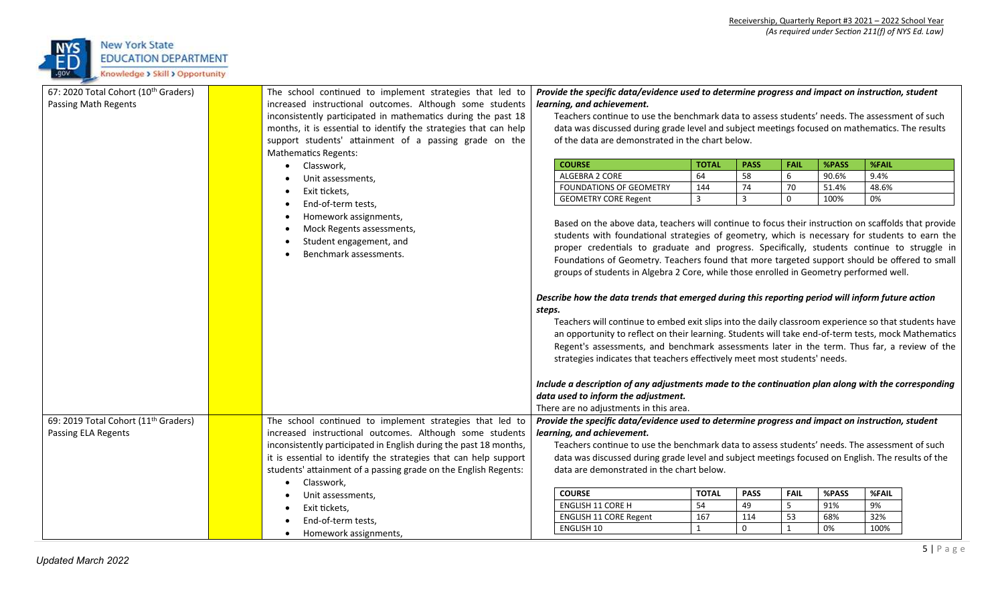

| 67: 2020 Total Cohort (10th Graders)             |  | The school continued to implement strategies that led to          |                                                                                                                                                                                                                                                                                        | Provide the specific data/evidence used to determine progress and impact on instruction, student     |                    |                   |                                |              |              |  |
|--------------------------------------------------|--|-------------------------------------------------------------------|----------------------------------------------------------------------------------------------------------------------------------------------------------------------------------------------------------------------------------------------------------------------------------------|------------------------------------------------------------------------------------------------------|--------------------|-------------------|--------------------------------|--------------|--------------|--|
| Passing Math Regents                             |  | increased instructional outcomes. Although some students          |                                                                                                                                                                                                                                                                                        | learning, and achievement.                                                                           |                    |                   |                                |              |              |  |
|                                                  |  | inconsistently participated in mathematics during the past 18     | Teachers continue to use the benchmark data to assess students' needs. The assessment of such                                                                                                                                                                                          |                                                                                                      |                    |                   |                                |              |              |  |
|                                                  |  | months, it is essential to identify the strategies that can help  |                                                                                                                                                                                                                                                                                        | data was discussed during grade level and subject meetings focused on mathematics. The results       |                    |                   |                                |              |              |  |
|                                                  |  | support students' attainment of a passing grade on the            |                                                                                                                                                                                                                                                                                        | of the data are demonstrated in the chart below.                                                     |                    |                   |                                |              |              |  |
|                                                  |  | <b>Mathematics Regents:</b>                                       |                                                                                                                                                                                                                                                                                        |                                                                                                      |                    |                   |                                |              |              |  |
|                                                  |  | Classwork,                                                        | <b>COURSE</b>                                                                                                                                                                                                                                                                          |                                                                                                      | <b>TOTAL</b>       | <b>PASS</b>       | <b>FAIL</b>                    | %PASS        | <b>%FAIL</b> |  |
|                                                  |  | Unit assessments,                                                 |                                                                                                                                                                                                                                                                                        | ALGEBRA 2 CORE                                                                                       | 64                 | 58                | 6                              | 90.6%        | 9.4%         |  |
|                                                  |  |                                                                   |                                                                                                                                                                                                                                                                                        | FOUNDATIONS OF GEOMETRY                                                                              | 144                | 74                | 70                             | 51.4%        | 48.6%        |  |
|                                                  |  | Exit tickets,                                                     |                                                                                                                                                                                                                                                                                        | <b>GEOMETRY CORE Regent</b>                                                                          | 3                  | $\overline{3}$    | $\mathbf 0$                    | 100%         | 0%           |  |
|                                                  |  | End-of-term tests,                                                |                                                                                                                                                                                                                                                                                        |                                                                                                      |                    |                   |                                |              |              |  |
|                                                  |  | Homework assignments,                                             |                                                                                                                                                                                                                                                                                        | Based on the above data, teachers will continue to focus their instruction on scaffolds that provide |                    |                   |                                |              |              |  |
|                                                  |  | Mock Regents assessments,                                         |                                                                                                                                                                                                                                                                                        | students with foundational strategies of geometry, which is necessary for students to earn the       |                    |                   |                                |              |              |  |
|                                                  |  | Student engagement, and                                           |                                                                                                                                                                                                                                                                                        |                                                                                                      |                    |                   |                                |              |              |  |
|                                                  |  | Benchmark assessments.                                            | proper credentials to graduate and progress. Specifically, students continue to struggle in<br>Foundations of Geometry. Teachers found that more targeted support should be offered to small<br>groups of students in Algebra 2 Core, while those enrolled in Geometry performed well. |                                                                                                      |                    |                   |                                |              |              |  |
|                                                  |  |                                                                   |                                                                                                                                                                                                                                                                                        |                                                                                                      |                    |                   |                                |              |              |  |
|                                                  |  |                                                                   |                                                                                                                                                                                                                                                                                        |                                                                                                      |                    |                   |                                |              |              |  |
|                                                  |  |                                                                   |                                                                                                                                                                                                                                                                                        | Describe how the data trends that emerged during this reporting period will inform future action     |                    |                   |                                |              |              |  |
|                                                  |  |                                                                   | steps.                                                                                                                                                                                                                                                                                 |                                                                                                      |                    |                   |                                |              |              |  |
|                                                  |  |                                                                   |                                                                                                                                                                                                                                                                                        | Teachers will continue to embed exit slips into the daily classroom experience so that students have |                    |                   |                                |              |              |  |
|                                                  |  |                                                                   |                                                                                                                                                                                                                                                                                        |                                                                                                      |                    |                   |                                |              |              |  |
|                                                  |  |                                                                   | an opportunity to reflect on their learning. Students will take end-of-term tests, mock Mathematics<br>Regent's assessments, and benchmark assessments later in the term. Thus far, a review of the<br>strategies indicates that teachers effectively meet most students' needs.       |                                                                                                      |                    |                   |                                |              |              |  |
|                                                  |  |                                                                   |                                                                                                                                                                                                                                                                                        |                                                                                                      |                    |                   |                                |              |              |  |
|                                                  |  |                                                                   |                                                                                                                                                                                                                                                                                        |                                                                                                      |                    |                   |                                |              |              |  |
|                                                  |  |                                                                   |                                                                                                                                                                                                                                                                                        | Include a description of any adjustments made to the continuation plan along with the corresponding  |                    |                   |                                |              |              |  |
|                                                  |  |                                                                   |                                                                                                                                                                                                                                                                                        | data used to inform the adjustment.                                                                  |                    |                   |                                |              |              |  |
|                                                  |  |                                                                   |                                                                                                                                                                                                                                                                                        | There are no adjustments in this area.                                                               |                    |                   |                                |              |              |  |
| 69: 2019 Total Cohort (11 <sup>th</sup> Graders) |  | The school continued to implement strategies that led to          |                                                                                                                                                                                                                                                                                        | Provide the specific data/evidence used to determine progress and impact on instruction, student     |                    |                   |                                |              |              |  |
| Passing ELA Regents                              |  | increased instructional outcomes. Although some students          |                                                                                                                                                                                                                                                                                        | learning, and achievement.                                                                           |                    |                   |                                |              |              |  |
|                                                  |  | inconsistently participated in English during the past 18 months, |                                                                                                                                                                                                                                                                                        | Teachers continue to use the benchmark data to assess students' needs. The assessment of such        |                    |                   |                                |              |              |  |
|                                                  |  | it is essential to identify the strategies that can help support  |                                                                                                                                                                                                                                                                                        | data was discussed during grade level and subject meetings focused on English. The results of the    |                    |                   |                                |              |              |  |
|                                                  |  |                                                                   |                                                                                                                                                                                                                                                                                        |                                                                                                      |                    |                   |                                |              |              |  |
|                                                  |  | students' attainment of a passing grade on the English Regents:   |                                                                                                                                                                                                                                                                                        | data are demonstrated in the chart below.                                                            |                    |                   |                                |              |              |  |
|                                                  |  | Classwork,                                                        |                                                                                                                                                                                                                                                                                        |                                                                                                      |                    |                   |                                |              |              |  |
|                                                  |  | Unit assessments,                                                 | <b>COURSE</b>                                                                                                                                                                                                                                                                          | <b>ENGLISH 11 CORE H</b>                                                                             | <b>TOTAL</b><br>54 | <b>PASS</b><br>49 | <b>FAIL</b><br>$5\overline{)}$ | %PASS<br>91% | %FAIL<br>9%  |  |
|                                                  |  | Exit tickets,                                                     |                                                                                                                                                                                                                                                                                        | <b>ENGLISH 11 CORE Regent</b>                                                                        | 167                | 114               | 53                             | 68%          | 32%          |  |
|                                                  |  | End-of-term tests,                                                |                                                                                                                                                                                                                                                                                        | <b>ENGLISH 10</b>                                                                                    | $\mathbf{1}$       | $\mathbf 0$       | $\mathbf{1}$                   | 0%           | 100%         |  |
|                                                  |  | Homework assignments,                                             |                                                                                                                                                                                                                                                                                        |                                                                                                      |                    |                   |                                |              |              |  |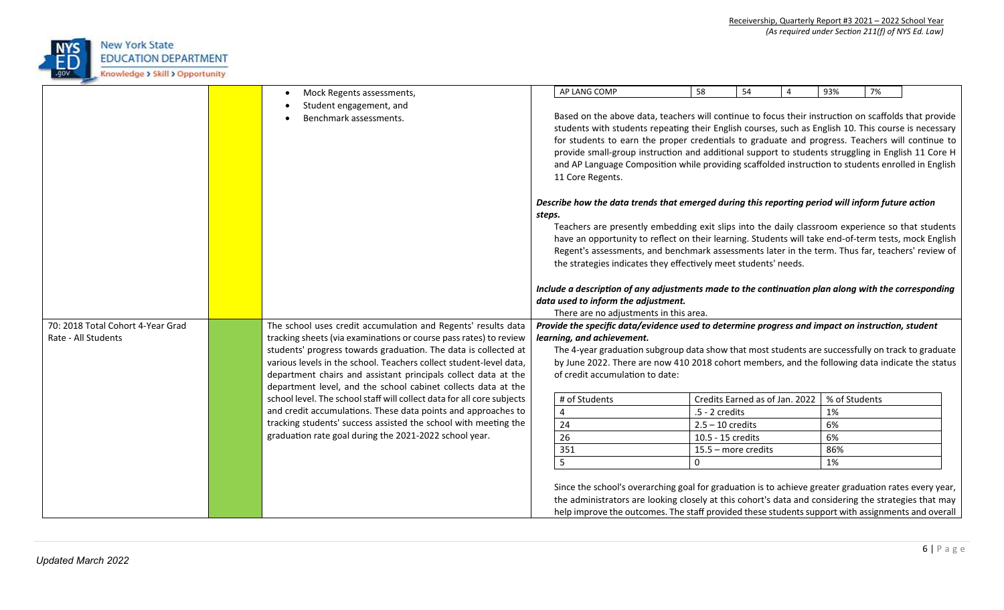

|                                   | Mock Regents assessments,<br>$\bullet$                                                                                             |                                                                                                  | AP LANG COMP                                                                                                                   | 58                 | 54                             | $\overline{4}$ | 93%           | 7% |  |
|-----------------------------------|------------------------------------------------------------------------------------------------------------------------------------|--------------------------------------------------------------------------------------------------|--------------------------------------------------------------------------------------------------------------------------------|--------------------|--------------------------------|----------------|---------------|----|--|
|                                   | Student engagement, and                                                                                                            |                                                                                                  |                                                                                                                                |                    |                                |                |               |    |  |
|                                   | Benchmark assessments.                                                                                                             |                                                                                                  | Based on the above data, teachers will continue to focus their instruction on scaffolds that provide                           |                    |                                |                |               |    |  |
|                                   |                                                                                                                                    |                                                                                                  | students with students repeating their English courses, such as English 10. This course is necessary                           |                    |                                |                |               |    |  |
|                                   |                                                                                                                                    |                                                                                                  | for students to earn the proper credentials to graduate and progress. Teachers will continue to                                |                    |                                |                |               |    |  |
|                                   |                                                                                                                                    |                                                                                                  | provide small-group instruction and additional support to students struggling in English 11 Core H                             |                    |                                |                |               |    |  |
|                                   |                                                                                                                                    |                                                                                                  | and AP Language Composition while providing scaffolded instruction to students enrolled in English                             |                    |                                |                |               |    |  |
|                                   |                                                                                                                                    | 11 Core Regents.                                                                                 |                                                                                                                                |                    |                                |                |               |    |  |
|                                   |                                                                                                                                    |                                                                                                  |                                                                                                                                |                    |                                |                |               |    |  |
|                                   |                                                                                                                                    | Describe how the data trends that emerged during this reporting period will inform future action |                                                                                                                                |                    |                                |                |               |    |  |
|                                   |                                                                                                                                    | steps.                                                                                           |                                                                                                                                |                    |                                |                |               |    |  |
|                                   |                                                                                                                                    |                                                                                                  | Teachers are presently embedding exit slips into the daily classroom experience so that students                               |                    |                                |                |               |    |  |
|                                   |                                                                                                                                    |                                                                                                  | have an opportunity to reflect on their learning. Students will take end-of-term tests, mock English                           |                    |                                |                |               |    |  |
|                                   |                                                                                                                                    |                                                                                                  | Regent's assessments, and benchmark assessments later in the term. Thus far, teachers' review of                               |                    |                                |                |               |    |  |
|                                   |                                                                                                                                    |                                                                                                  | the strategies indicates they effectively meet students' needs.                                                                |                    |                                |                |               |    |  |
|                                   |                                                                                                                                    |                                                                                                  |                                                                                                                                |                    |                                |                |               |    |  |
|                                   |                                                                                                                                    |                                                                                                  | Include a description of any adjustments made to the continuation plan along with the corresponding                            |                    |                                |                |               |    |  |
|                                   |                                                                                                                                    |                                                                                                  | data used to inform the adjustment.                                                                                            |                    |                                |                |               |    |  |
| 70: 2018 Total Cohort 4-Year Grad |                                                                                                                                    |                                                                                                  | There are no adjustments in this area.                                                                                         |                    |                                |                |               |    |  |
| Rate - All Students               | The school uses credit accumulation and Regents' results data<br>tracking sheets (via examinations or course pass rates) to review |                                                                                                  | Provide the specific data/evidence used to determine progress and impact on instruction, student<br>learning, and achievement. |                    |                                |                |               |    |  |
|                                   | students' progress towards graduation. The data is collected at                                                                    |                                                                                                  | The 4-year graduation subgroup data show that most students are successfully on track to graduate                              |                    |                                |                |               |    |  |
|                                   | various levels in the school. Teachers collect student-level data,                                                                 |                                                                                                  | by June 2022. There are now 410 2018 cohort members, and the following data indicate the status                                |                    |                                |                |               |    |  |
|                                   | department chairs and assistant principals collect data at the                                                                     |                                                                                                  | of credit accumulation to date:                                                                                                |                    |                                |                |               |    |  |
|                                   | department level, and the school cabinet collects data at the                                                                      |                                                                                                  |                                                                                                                                |                    |                                |                |               |    |  |
|                                   | school level. The school staff will collect data for all core subjects                                                             |                                                                                                  | # of Students                                                                                                                  |                    | Credits Earned as of Jan. 2022 |                | % of Students |    |  |
|                                   | and credit accumulations. These data points and approaches to                                                                      |                                                                                                  | 4                                                                                                                              | $.5 - 2$ credits   |                                |                | 1%            |    |  |
|                                   | tracking students' success assisted the school with meeting the                                                                    |                                                                                                  | 24                                                                                                                             | $2.5 - 10$ credits |                                |                | 6%            |    |  |
|                                   | graduation rate goal during the 2021-2022 school year.                                                                             |                                                                                                  | 26                                                                                                                             | 10.5 - 15 credits  |                                |                | 6%            |    |  |
|                                   |                                                                                                                                    |                                                                                                  | 351                                                                                                                            |                    | 15.5 - more credits            |                | 86%           |    |  |
|                                   |                                                                                                                                    |                                                                                                  | 5                                                                                                                              | 0                  |                                |                | 1%            |    |  |
|                                   |                                                                                                                                    |                                                                                                  |                                                                                                                                |                    |                                |                |               |    |  |
|                                   |                                                                                                                                    |                                                                                                  | Since the school's overarching goal for graduation is to achieve greater graduation rates every year,                          |                    |                                |                |               |    |  |
|                                   |                                                                                                                                    |                                                                                                  | the administrators are looking closely at this cohort's data and considering the strategies that may                           |                    |                                |                |               |    |  |
|                                   |                                                                                                                                    |                                                                                                  | help improve the outcomes. The staff provided these students support with assignments and overall                              |                    |                                |                |               |    |  |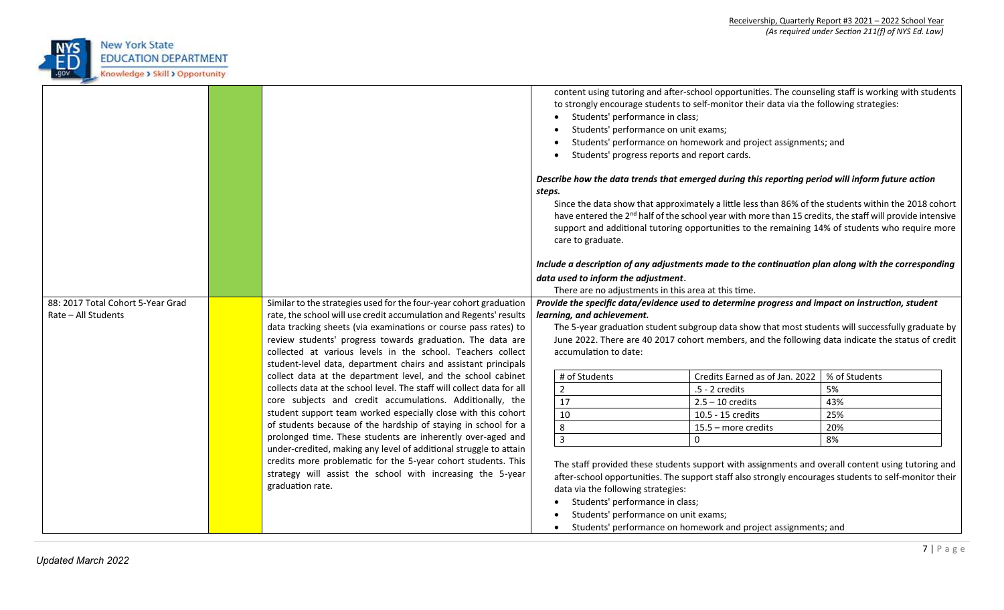

| 88: 2017 Total Cohort 5-Year Grad<br>Rate - All Students | Similar to the strategies used for the four-year cohort graduation<br>rate, the school will use credit accumulation and Regents' results<br>data tracking sheets (via examinations or course pass rates) to<br>review students' progress towards graduation. The data are |  | content using tutoring and after-school opportunities. The counseling staff is working with students<br>to strongly encourage students to self-monitor their data via the following strategies:<br>Students' performance in class;<br>Students' performance on unit exams;<br>Students' performance on homework and project assignments; and<br>Students' progress reports and report cards.<br>Describe how the data trends that emerged during this reporting period will inform future action<br>steps.<br>Since the data show that approximately a little less than 86% of the students within the 2018 cohort<br>have entered the 2 <sup>nd</sup> half of the school year with more than 15 credits, the staff will provide intensive<br>support and additional tutoring opportunities to the remaining 14% of students who require more<br>care to graduate.<br>Include a description of any adjustments made to the continuation plan along with the corresponding<br>data used to inform the adjustment.<br>There are no adjustments in this area at this time.<br>Provide the specific data/evidence used to determine progress and impact on instruction, student<br>learning, and achievement.<br>The 5-year graduation student subgroup data show that most students will successfully graduate by |                                |               |  |  |  |
|----------------------------------------------------------|---------------------------------------------------------------------------------------------------------------------------------------------------------------------------------------------------------------------------------------------------------------------------|--|----------------------------------------------------------------------------------------------------------------------------------------------------------------------------------------------------------------------------------------------------------------------------------------------------------------------------------------------------------------------------------------------------------------------------------------------------------------------------------------------------------------------------------------------------------------------------------------------------------------------------------------------------------------------------------------------------------------------------------------------------------------------------------------------------------------------------------------------------------------------------------------------------------------------------------------------------------------------------------------------------------------------------------------------------------------------------------------------------------------------------------------------------------------------------------------------------------------------------------------------------------------------------------------------------------------|--------------------------------|---------------|--|--|--|
|                                                          | collected at various levels in the school. Teachers collect<br>student-level data, department chairs and assistant principals<br>collect data at the department level, and the school cabinet                                                                             |  | accumulation to date:<br># of Students                                                                                                                                                                                                                                                                                                                                                                                                                                                                                                                                                                                                                                                                                                                                                                                                                                                                                                                                                                                                                                                                                                                                                                                                                                                                         | Credits Earned as of Jan. 2022 | % of Students |  |  |  |
|                                                          | collects data at the school level. The staff will collect data for all                                                                                                                                                                                                    |  | $\overline{2}$                                                                                                                                                                                                                                                                                                                                                                                                                                                                                                                                                                                                                                                                                                                                                                                                                                                                                                                                                                                                                                                                                                                                                                                                                                                                                                 | .5 - 2 credits                 | 5%            |  |  |  |
|                                                          | core subjects and credit accumulations. Additionally, the                                                                                                                                                                                                                 |  | 17                                                                                                                                                                                                                                                                                                                                                                                                                                                                                                                                                                                                                                                                                                                                                                                                                                                                                                                                                                                                                                                                                                                                                                                                                                                                                                             | $2.5 - 10$ credits             | 43%           |  |  |  |
|                                                          | student support team worked especially close with this cohort                                                                                                                                                                                                             |  | 10                                                                                                                                                                                                                                                                                                                                                                                                                                                                                                                                                                                                                                                                                                                                                                                                                                                                                                                                                                                                                                                                                                                                                                                                                                                                                                             | 10.5 - 15 credits              | 25%           |  |  |  |
|                                                          | of students because of the hardship of staying in school for a                                                                                                                                                                                                            |  | 8                                                                                                                                                                                                                                                                                                                                                                                                                                                                                                                                                                                                                                                                                                                                                                                                                                                                                                                                                                                                                                                                                                                                                                                                                                                                                                              | 15.5 - more credits            | 20%           |  |  |  |
|                                                          | prolonged time. These students are inherently over-aged and                                                                                                                                                                                                               |  | $\overline{\mathbf{3}}$                                                                                                                                                                                                                                                                                                                                                                                                                                                                                                                                                                                                                                                                                                                                                                                                                                                                                                                                                                                                                                                                                                                                                                                                                                                                                        | $\mathbf 0$                    | 8%            |  |  |  |
|                                                          | under-credited, making any level of additional struggle to attain<br>credits more problematic for the 5-year cohort students. This<br>strategy will assist the school with increasing the 5-year<br>graduation rate.                                                      |  | The staff provided these students support with assignments and overall content using tutoring and<br>after-school opportunities. The support staff also strongly encourages students to self-monitor their<br>data via the following strategies:<br>Students' performance in class;<br>Students' performance on unit exams;<br>Students' performance on homework and project assignments; and                                                                                                                                                                                                                                                                                                                                                                                                                                                                                                                                                                                                                                                                                                                                                                                                                                                                                                                  |                                |               |  |  |  |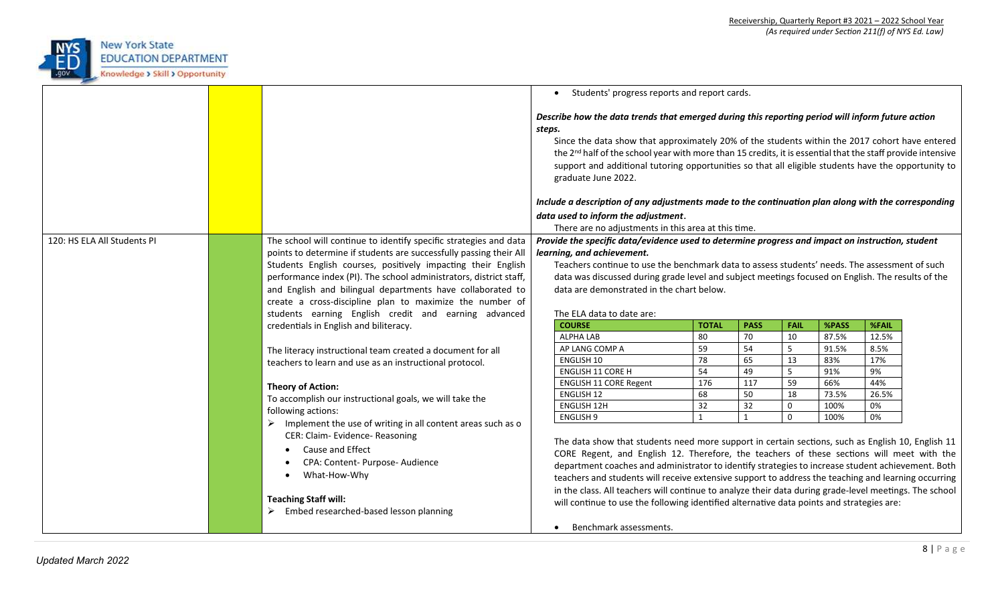

|                             |  |                                                                                                                       | Students' progress reports and report cards.<br>$\bullet$                                                                                                                                                                                                                                                                                                                                                                                                                                                                                                                    |              |             |                     |       |              |  |  |  |  |
|-----------------------------|--|-----------------------------------------------------------------------------------------------------------------------|------------------------------------------------------------------------------------------------------------------------------------------------------------------------------------------------------------------------------------------------------------------------------------------------------------------------------------------------------------------------------------------------------------------------------------------------------------------------------------------------------------------------------------------------------------------------------|--------------|-------------|---------------------|-------|--------------|--|--|--|--|
|                             |  |                                                                                                                       | Describe how the data trends that emerged during this reporting period will inform future action<br>steps.<br>Since the data show that approximately 20% of the students within the 2017 cohort have entered<br>the 2 <sup>nd</sup> half of the school year with more than 15 credits, it is essential that the staff provide intensive<br>support and additional tutoring opportunities so that all eligible students have the opportunity to<br>graduate June 2022.<br>Include a description of any adjustments made to the continuation plan along with the corresponding |              |             |                     |       |              |  |  |  |  |
|                             |  |                                                                                                                       |                                                                                                                                                                                                                                                                                                                                                                                                                                                                                                                                                                              |              |             |                     |       |              |  |  |  |  |
|                             |  |                                                                                                                       | data used to inform the adjustment.                                                                                                                                                                                                                                                                                                                                                                                                                                                                                                                                          |              |             |                     |       |              |  |  |  |  |
|                             |  |                                                                                                                       | There are no adjustments in this area at this time.                                                                                                                                                                                                                                                                                                                                                                                                                                                                                                                          |              |             |                     |       |              |  |  |  |  |
| 120: HS ELA All Students PI |  | The school will continue to identify specific strategies and data                                                     | Provide the specific data/evidence used to determine progress and impact on instruction, student<br>learning, and achievement.                                                                                                                                                                                                                                                                                                                                                                                                                                               |              |             |                     |       |              |  |  |  |  |
|                             |  | points to determine if students are successfully passing their All                                                    |                                                                                                                                                                                                                                                                                                                                                                                                                                                                                                                                                                              |              |             |                     |       |              |  |  |  |  |
|                             |  | Students English courses, positively impacting their English                                                          | Teachers continue to use the benchmark data to assess students' needs. The assessment of such                                                                                                                                                                                                                                                                                                                                                                                                                                                                                |              |             |                     |       |              |  |  |  |  |
|                             |  | performance index (PI). The school administrators, district staff,                                                    | data was discussed during grade level and subject meetings focused on English. The results of the<br>data are demonstrated in the chart below.                                                                                                                                                                                                                                                                                                                                                                                                                               |              |             |                     |       |              |  |  |  |  |
|                             |  | and English and bilingual departments have collaborated to                                                            |                                                                                                                                                                                                                                                                                                                                                                                                                                                                                                                                                                              |              |             |                     |       |              |  |  |  |  |
|                             |  | create a cross-discipline plan to maximize the number of                                                              |                                                                                                                                                                                                                                                                                                                                                                                                                                                                                                                                                                              |              |             |                     |       |              |  |  |  |  |
|                             |  | students earning English credit and earning advanced                                                                  | The ELA data to date are:                                                                                                                                                                                                                                                                                                                                                                                                                                                                                                                                                    |              |             |                     |       |              |  |  |  |  |
|                             |  | credentials in English and biliteracy.                                                                                | <b>COURSE</b>                                                                                                                                                                                                                                                                                                                                                                                                                                                                                                                                                                | <b>TOTAL</b> | <b>PASS</b> | <b>FAIL</b>         | %PASS | <b>%FAIL</b> |  |  |  |  |
|                             |  | The literacy instructional team created a document for all<br>teachers to learn and use as an instructional protocol. | <b>ALPHA LAB</b>                                                                                                                                                                                                                                                                                                                                                                                                                                                                                                                                                             | 80           | 70          | 10                  | 87.5% | 12.5%        |  |  |  |  |
|                             |  |                                                                                                                       | AP LANG COMP A                                                                                                                                                                                                                                                                                                                                                                                                                                                                                                                                                               | 59           | 54          | 5                   | 91.5% | 8.5%         |  |  |  |  |
|                             |  |                                                                                                                       | ENGLISH 10                                                                                                                                                                                                                                                                                                                                                                                                                                                                                                                                                                   | 78           | 65          | 13                  | 83%   | 17%          |  |  |  |  |
|                             |  |                                                                                                                       | <b>ENGLISH 11 CORE H</b>                                                                                                                                                                                                                                                                                                                                                                                                                                                                                                                                                     | 54           | 49          | 5                   | 91%   | 9%           |  |  |  |  |
|                             |  | <b>Theory of Action:</b>                                                                                              | ENGLISH 11 CORE Regent                                                                                                                                                                                                                                                                                                                                                                                                                                                                                                                                                       | 176          | 117         | 59                  | 66%   | 44%          |  |  |  |  |
|                             |  | To accomplish our instructional goals, we will take the                                                               | <b>ENGLISH 12</b>                                                                                                                                                                                                                                                                                                                                                                                                                                                                                                                                                            | 68           | 50          | 18                  | 73.5% | 26.5%        |  |  |  |  |
|                             |  | following actions:                                                                                                    | <b>ENGLISH 12H</b>                                                                                                                                                                                                                                                                                                                                                                                                                                                                                                                                                           | 32           | 32          | $\mathsf{O}\xspace$ | 100%  | 0%           |  |  |  |  |
|                             |  | $\triangleright$ Implement the use of writing in all content areas such as o<br>CER: Claim- Evidence- Reasoning       | $\mathbf{1}$<br>$\Omega$<br>0%<br><b>ENGLISH 9</b><br>100%<br>$\mathbf{1}$<br>The data show that students need more support in certain sections, such as English 10, English 11                                                                                                                                                                                                                                                                                                                                                                                              |              |             |                     |       |              |  |  |  |  |
|                             |  | Cause and Effect                                                                                                      | CORE Regent, and English 12. Therefore, the teachers of these sections will meet with the                                                                                                                                                                                                                                                                                                                                                                                                                                                                                    |              |             |                     |       |              |  |  |  |  |
|                             |  | CPA: Content- Purpose- Audience<br>$\bullet$                                                                          | department coaches and administrator to identify strategies to increase student achievement. Both                                                                                                                                                                                                                                                                                                                                                                                                                                                                            |              |             |                     |       |              |  |  |  |  |
|                             |  | What-How-Why<br>$\bullet$                                                                                             | teachers and students will receive extensive support to address the teaching and learning occurring                                                                                                                                                                                                                                                                                                                                                                                                                                                                          |              |             |                     |       |              |  |  |  |  |
|                             |  | <b>Teaching Staff will:</b><br>$\triangleright$ Embed researched-based lesson planning                                | in the class. All teachers will continue to analyze their data during grade-level meetings. The school<br>will continue to use the following identified alternative data points and strategies are:                                                                                                                                                                                                                                                                                                                                                                          |              |             |                     |       |              |  |  |  |  |
|                             |  |                                                                                                                       | Benchmark assessments.<br>$\bullet$                                                                                                                                                                                                                                                                                                                                                                                                                                                                                                                                          |              |             |                     |       |              |  |  |  |  |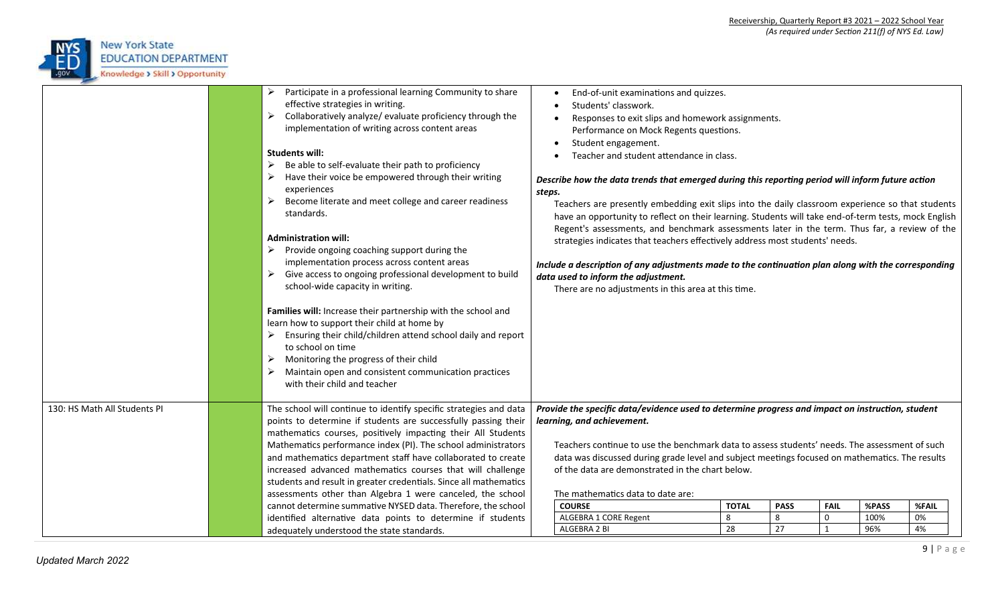

|                              | Participate in a professional learning Community to share<br>➤<br>effective strategies in writing.<br>Collaboratively analyze/ evaluate proficiency through the<br>➤<br>implementation of writing across content areas<br><b>Students will:</b><br>Be able to self-evaluate their path to proficiency<br>➤<br>Have their voice be empowered through their writing<br>➤<br>experiences<br>Become literate and meet college and career readiness<br>➤<br>standards.<br><b>Administration will:</b><br>$\triangleright$ Provide ongoing coaching support during the<br>implementation process across content areas<br>Give access to ongoing professional development to build<br>➤<br>school-wide capacity in writing.<br>Families will: Increase their partnership with the school and<br>learn how to support their child at home by<br>Ensuring their child/children attend school daily and report<br>➤<br>to school on time<br>$\triangleright$ Monitoring the progress of their child<br>Maintain open and consistent communication practices<br>with their child and teacher | End-of-unit examinations and quizzes.<br>$\bullet$<br>Students' classwork.<br>Responses to exit slips and homework assignments.<br>$\bullet$<br>Performance on Mock Regents questions.<br>Student engagement.<br>$\bullet$<br>Teacher and student attendance in class.<br>Describe how the data trends that emerged during this reporting period will inform future action<br>steps.<br>Teachers are presently embedding exit slips into the daily classroom experience so that students<br>have an opportunity to reflect on their learning. Students will take end-of-term tests, mock English<br>Regent's assessments, and benchmark assessments later in the term. Thus far, a review of the<br>strategies indicates that teachers effectively address most students' needs.<br>Include a description of any adjustments made to the continuation plan along with the corresponding<br>data used to inform the adjustment.<br>There are no adjustments in this area at this time. |  |  |  |  |  |  |
|------------------------------|-----------------------------------------------------------------------------------------------------------------------------------------------------------------------------------------------------------------------------------------------------------------------------------------------------------------------------------------------------------------------------------------------------------------------------------------------------------------------------------------------------------------------------------------------------------------------------------------------------------------------------------------------------------------------------------------------------------------------------------------------------------------------------------------------------------------------------------------------------------------------------------------------------------------------------------------------------------------------------------------------------------------------------------------------------------------------------------|---------------------------------------------------------------------------------------------------------------------------------------------------------------------------------------------------------------------------------------------------------------------------------------------------------------------------------------------------------------------------------------------------------------------------------------------------------------------------------------------------------------------------------------------------------------------------------------------------------------------------------------------------------------------------------------------------------------------------------------------------------------------------------------------------------------------------------------------------------------------------------------------------------------------------------------------------------------------------------------|--|--|--|--|--|--|
| 130: HS Math All Students PI | The school will continue to identify specific strategies and data<br>points to determine if students are successfully passing their<br>mathematics courses, positively impacting their All Students<br>Mathematics performance index (PI). The school administrators<br>and mathematics department staff have collaborated to create                                                                                                                                                                                                                                                                                                                                                                                                                                                                                                                                                                                                                                                                                                                                              | Provide the specific data/evidence used to determine progress and impact on instruction, student<br>learning, and achievement.<br>Teachers continue to use the benchmark data to assess students' needs. The assessment of such<br>data was discussed during grade level and subject meetings focused on mathematics. The results<br>of the data are demonstrated in the chart below.                                                                                                                                                                                                                                                                                                                                                                                                                                                                                                                                                                                                 |  |  |  |  |  |  |
|                              | increased advanced mathematics courses that will challenge<br>students and result in greater credentials. Since all mathematics                                                                                                                                                                                                                                                                                                                                                                                                                                                                                                                                                                                                                                                                                                                                                                                                                                                                                                                                                   | The mathematics data to date are:                                                                                                                                                                                                                                                                                                                                                                                                                                                                                                                                                                                                                                                                                                                                                                                                                                                                                                                                                     |  |  |  |  |  |  |
|                              | assessments other than Algebra 1 were canceled, the school                                                                                                                                                                                                                                                                                                                                                                                                                                                                                                                                                                                                                                                                                                                                                                                                                                                                                                                                                                                                                        | <b>TOTAL</b><br><b>COURSE</b><br><b>PASS</b><br><b>FAIL</b><br>%PASS<br>%FAIL                                                                                                                                                                                                                                                                                                                                                                                                                                                                                                                                                                                                                                                                                                                                                                                                                                                                                                         |  |  |  |  |  |  |
|                              | cannot determine summative NYSED data. Therefore, the school<br>identified alternative data points to determine if students                                                                                                                                                                                                                                                                                                                                                                                                                                                                                                                                                                                                                                                                                                                                                                                                                                                                                                                                                       | 8<br>ALGEBRA 1 CORE Regent<br>8<br>0<br>100%<br>0%                                                                                                                                                                                                                                                                                                                                                                                                                                                                                                                                                                                                                                                                                                                                                                                                                                                                                                                                    |  |  |  |  |  |  |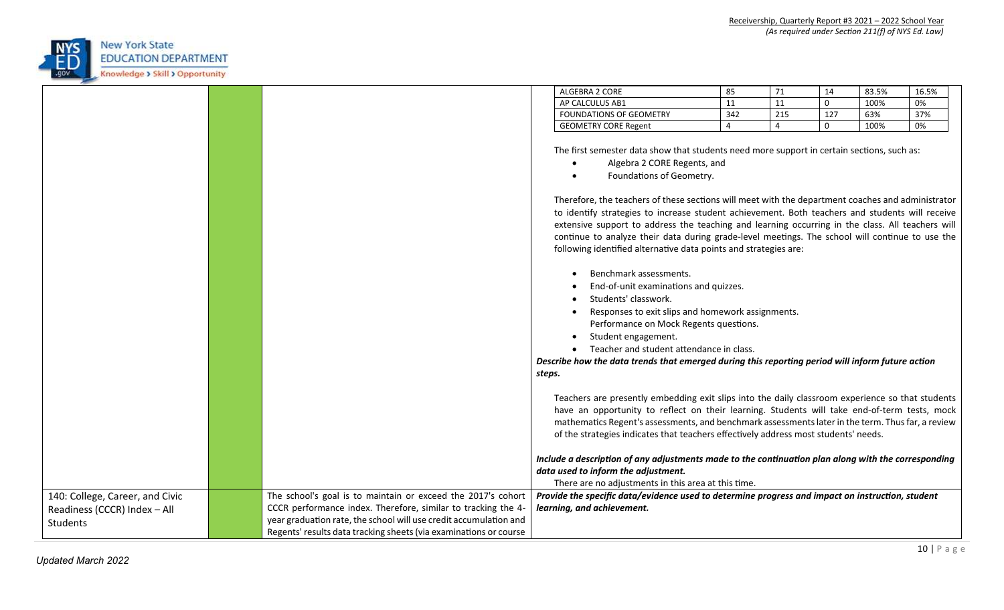

|                                                                             |                                                                                                                                                                                                                                                                         | ALGEBRA 2 CORE                                                                                                                                                                                                                                                                                                                                                                               | 85             | 71             | 14           | 83.5% | 16.5% |
|-----------------------------------------------------------------------------|-------------------------------------------------------------------------------------------------------------------------------------------------------------------------------------------------------------------------------------------------------------------------|----------------------------------------------------------------------------------------------------------------------------------------------------------------------------------------------------------------------------------------------------------------------------------------------------------------------------------------------------------------------------------------------|----------------|----------------|--------------|-------|-------|
|                                                                             |                                                                                                                                                                                                                                                                         | AP CALCULUS AB1                                                                                                                                                                                                                                                                                                                                                                              | 11             | 11             | $\mathbf 0$  | 100%  | 0%    |
|                                                                             |                                                                                                                                                                                                                                                                         | FOUNDATIONS OF GEOMETRY                                                                                                                                                                                                                                                                                                                                                                      | 342            | 215            | 127          | 63%   | 37%   |
|                                                                             |                                                                                                                                                                                                                                                                         | <b>GEOMETRY CORE Regent</b>                                                                                                                                                                                                                                                                                                                                                                  | $\overline{4}$ | $\overline{4}$ | $\mathbf{0}$ | 100%  | 0%    |
|                                                                             |                                                                                                                                                                                                                                                                         | The first semester data show that students need more support in certain sections, such as:<br>Algebra 2 CORE Regents, and<br>Foundations of Geometry.<br>Therefore, the teachers of these sections will meet with the department coaches and administrator                                                                                                                                   |                |                |              |       |       |
|                                                                             |                                                                                                                                                                                                                                                                         | to identify strategies to increase student achievement. Both teachers and students will receive<br>extensive support to address the teaching and learning occurring in the class. All teachers will<br>continue to analyze their data during grade-level meetings. The school will continue to use the<br>following identified alternative data points and strategies are:                   |                |                |              |       |       |
|                                                                             |                                                                                                                                                                                                                                                                         | Benchmark assessments.<br>End-of-unit examinations and quizzes.<br>Students' classwork.<br>Responses to exit slips and homework assignments.<br>Performance on Mock Regents questions.<br>Student engagement.<br>Teacher and student attendance in class.<br>Describe how the data trends that emerged during this reporting period will inform future action<br>steps.                      |                |                |              |       |       |
|                                                                             |                                                                                                                                                                                                                                                                         | Teachers are presently embedding exit slips into the daily classroom experience so that students<br>have an opportunity to reflect on their learning. Students will take end-of-term tests, mock<br>mathematics Regent's assessments, and benchmark assessments later in the term. Thus far, a review<br>of the strategies indicates that teachers effectively address most students' needs. |                |                |              |       |       |
|                                                                             |                                                                                                                                                                                                                                                                         | Include a description of any adjustments made to the continuation plan along with the corresponding<br>data used to inform the adjustment.<br>There are no adjustments in this area at this time.                                                                                                                                                                                            |                |                |              |       |       |
| 140: College, Career, and Civic<br>Readiness (CCCR) Index - All<br>Students | The school's goal is to maintain or exceed the 2017's cohort<br>CCCR performance index. Therefore, similar to tracking the 4-<br>year graduation rate, the school will use credit accumulation and<br>Regents' results data tracking sheets (via examinations or course | Provide the specific data/evidence used to determine progress and impact on instruction, student<br>learning, and achievement.                                                                                                                                                                                                                                                               |                |                |              |       |       |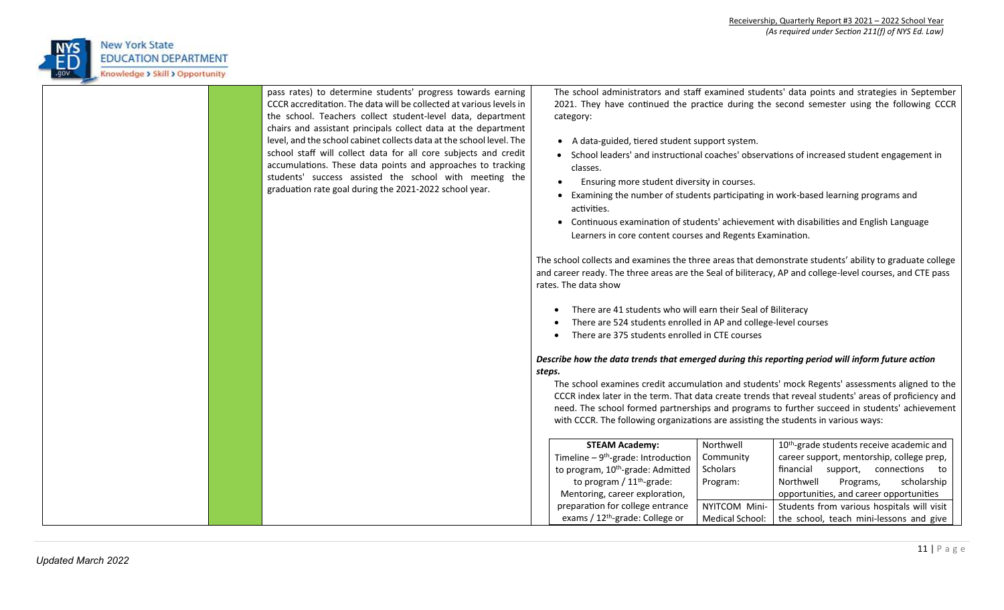

| pass rates) to determine students' progress towards earning<br>CCCR accreditation. The data will be collected at various levels in<br>the school. Teachers collect student-level data, department<br>chairs and assistant principals collect data at the department<br>level, and the school cabinet collects data at the school level. The<br>school staff will collect data for all core subjects and credit<br>accumulations. These data points and approaches to tracking<br>students' success assisted the school with meeting the<br>graduation rate goal during the 2021-2022 school year. | The school administrators and staff examined students' data points and strategies in September<br>2021. They have continued the practice during the second semester using the following CCCR<br>category:<br>• A data-guided, tiered student support system.<br>School leaders' and instructional coaches' observations of increased student engagement in<br>classes.<br>Ensuring more student diversity in courses.<br>Examining the number of students participating in work-based learning programs and<br>activities.<br>Continuous examination of students' achievement with disabilities and English Language<br>Learners in core content courses and Regents Examination.<br>The school collects and examines the three areas that demonstrate students' ability to graduate college<br>and career ready. The three areas are the Seal of biliteracy, AP and college-level courses, and CTE pass<br>rates. The data show<br>There are 41 students who will earn their Seal of Biliteracy<br>There are 524 students enrolled in AP and college-level courses<br>There are 375 students enrolled in CTE courses<br>Describe how the data trends that emerged during this reporting period will inform future action<br>steps.<br>The school examines credit accumulation and students' mock Regents' assessments aligned to the<br>CCCR index later in the term. That data create trends that reveal students' areas of proficiency and |
|---------------------------------------------------------------------------------------------------------------------------------------------------------------------------------------------------------------------------------------------------------------------------------------------------------------------------------------------------------------------------------------------------------------------------------------------------------------------------------------------------------------------------------------------------------------------------------------------------|-----------------------------------------------------------------------------------------------------------------------------------------------------------------------------------------------------------------------------------------------------------------------------------------------------------------------------------------------------------------------------------------------------------------------------------------------------------------------------------------------------------------------------------------------------------------------------------------------------------------------------------------------------------------------------------------------------------------------------------------------------------------------------------------------------------------------------------------------------------------------------------------------------------------------------------------------------------------------------------------------------------------------------------------------------------------------------------------------------------------------------------------------------------------------------------------------------------------------------------------------------------------------------------------------------------------------------------------------------------------------------------------------------------------------------------------------|
|                                                                                                                                                                                                                                                                                                                                                                                                                                                                                                                                                                                                   | need. The school formed partnerships and programs to further succeed in students' achievement<br>with CCCR. The following organizations are assisting the students in various ways:                                                                                                                                                                                                                                                                                                                                                                                                                                                                                                                                                                                                                                                                                                                                                                                                                                                                                                                                                                                                                                                                                                                                                                                                                                                           |
|                                                                                                                                                                                                                                                                                                                                                                                                                                                                                                                                                                                                   | Northwell<br>10 <sup>th</sup> -grade students receive academic and<br><b>STEAM Academy:</b><br>Timeline $-9$ <sup>th</sup> -grade: Introduction<br>career support, mentorship, college prep,<br>Community                                                                                                                                                                                                                                                                                                                                                                                                                                                                                                                                                                                                                                                                                                                                                                                                                                                                                                                                                                                                                                                                                                                                                                                                                                     |
|                                                                                                                                                                                                                                                                                                                                                                                                                                                                                                                                                                                                   | to program, 10 <sup>th</sup> -grade: Admitted<br>financial support, connections to<br>Scholars                                                                                                                                                                                                                                                                                                                                                                                                                                                                                                                                                                                                                                                                                                                                                                                                                                                                                                                                                                                                                                                                                                                                                                                                                                                                                                                                                |
|                                                                                                                                                                                                                                                                                                                                                                                                                                                                                                                                                                                                   | to program / $11th$ -grade:<br>Northwell<br>Programs,<br>Program:<br>scholarship                                                                                                                                                                                                                                                                                                                                                                                                                                                                                                                                                                                                                                                                                                                                                                                                                                                                                                                                                                                                                                                                                                                                                                                                                                                                                                                                                              |
|                                                                                                                                                                                                                                                                                                                                                                                                                                                                                                                                                                                                   | opportunities, and career opportunities<br>Mentoring, career exploration,                                                                                                                                                                                                                                                                                                                                                                                                                                                                                                                                                                                                                                                                                                                                                                                                                                                                                                                                                                                                                                                                                                                                                                                                                                                                                                                                                                     |
|                                                                                                                                                                                                                                                                                                                                                                                                                                                                                                                                                                                                   | preparation for college entrance<br>NYITCOM Mini-<br>Students from various hospitals will visit<br>exams / 12 <sup>th</sup> -grade: College or<br>the school, teach mini-lessons and give<br>Medical School:                                                                                                                                                                                                                                                                                                                                                                                                                                                                                                                                                                                                                                                                                                                                                                                                                                                                                                                                                                                                                                                                                                                                                                                                                                  |
|                                                                                                                                                                                                                                                                                                                                                                                                                                                                                                                                                                                                   |                                                                                                                                                                                                                                                                                                                                                                                                                                                                                                                                                                                                                                                                                                                                                                                                                                                                                                                                                                                                                                                                                                                                                                                                                                                                                                                                                                                                                                               |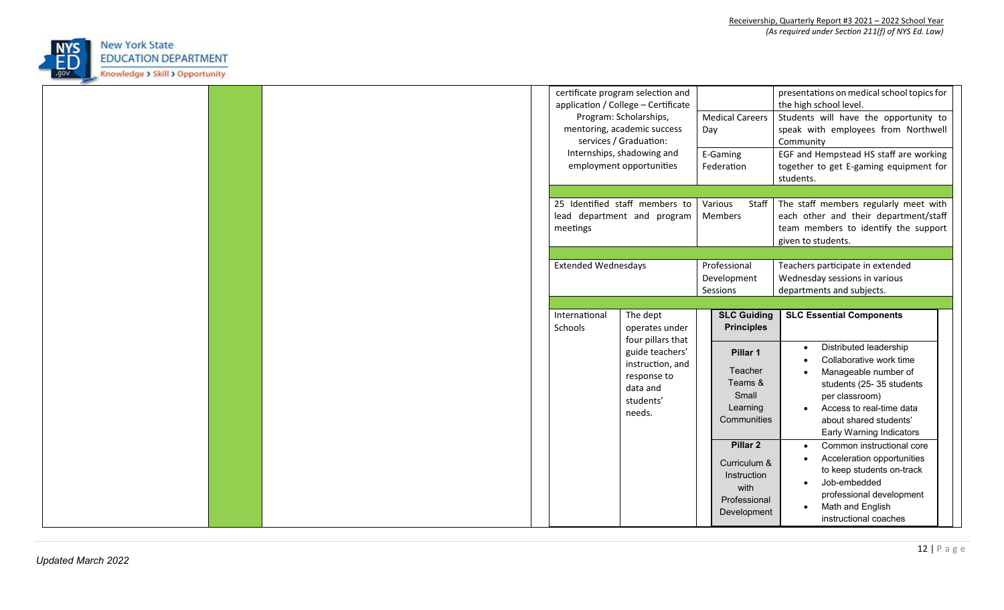

|  |                          | certificate program selection and<br>application / College - Certificate<br>Program: Scholarships,<br>mentoring, academic success<br>services / Graduation:<br>Internships, shadowing and<br>employment opportunities | <b>Medical Careers</b><br>Day<br>E-Gaming<br>Federation                                   | presentations on medical school topics for<br>the high school level.<br>Students will have the opportunity to<br>speak with employees from Northwell<br>Community<br>EGF and Hempstead HS staff are working<br>together to get E-gaming equipment for<br>students. |  |
|--|--------------------------|-----------------------------------------------------------------------------------------------------------------------------------------------------------------------------------------------------------------------|-------------------------------------------------------------------------------------------|--------------------------------------------------------------------------------------------------------------------------------------------------------------------------------------------------------------------------------------------------------------------|--|
|  | meetings                 | 25 Identified staff members to<br>lead department and program                                                                                                                                                         | Various<br>Staff<br>Members<br>Professional                                               | The staff members regularly meet with<br>each other and their department/staff<br>team members to identify the support<br>given to students.<br>Teachers participate in extended                                                                                   |  |
|  | International<br>Schools | <b>Extended Wednesdays</b><br>The dept<br>operates under                                                                                                                                                              |                                                                                           | Wednesday sessions in various<br>departments and subjects.<br><b>SLC Guiding</b><br><b>SLC Essential Components</b><br><b>Principles</b>                                                                                                                           |  |
|  |                          | four pillars that<br>guide teachers'<br>instruction, and<br>response to<br>data and<br>students'<br>needs.                                                                                                            | Pillar 1<br>Teacher<br>Teams &<br>Small<br>Learning<br>Communities                        | Distributed leadership<br>Collaborative work time<br>Manageable number of<br>students (25-35 students<br>per classroom)<br>Access to real-time data<br>$\bullet$<br>about shared students'<br>Early Warning Indicators                                             |  |
|  |                          |                                                                                                                                                                                                                       | Pillar <sub>2</sub><br>Curriculum &<br>Instruction<br>with<br>Professional<br>Development | Common instructional core<br>Acceleration opportunities<br>to keep students on-track<br>Job-embedded<br>$\bullet$<br>professional development<br>Math and English<br>instructional coaches                                                                         |  |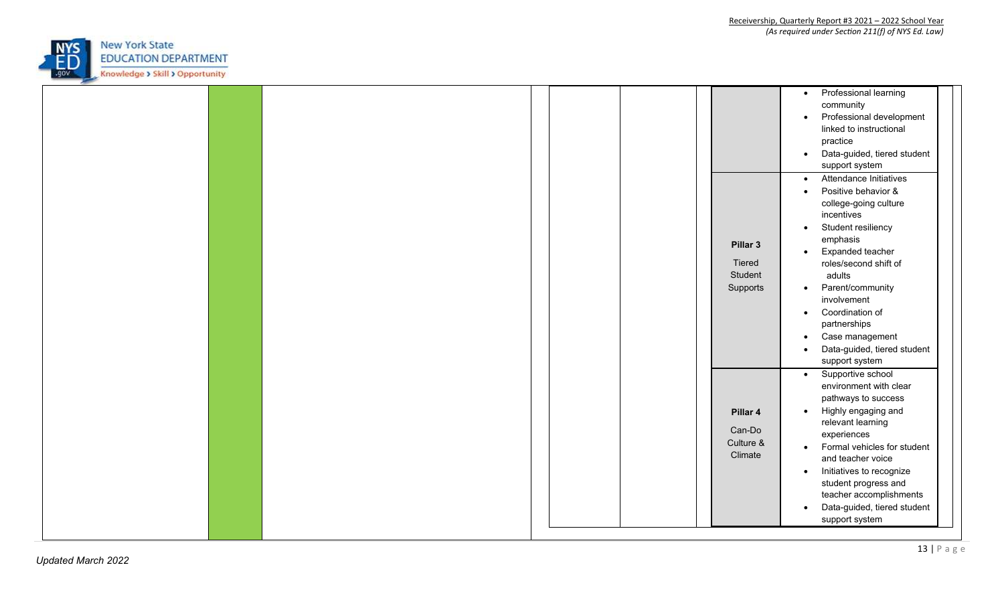

|  |                                            | Professional learning<br>$\bullet$<br>community<br>Professional development<br>$\bullet$<br>linked to instructional<br>practice<br>Data-guided, tiered student<br>$\bullet$<br>support system                                                                                                                                                                                                         |
|--|--------------------------------------------|-------------------------------------------------------------------------------------------------------------------------------------------------------------------------------------------------------------------------------------------------------------------------------------------------------------------------------------------------------------------------------------------------------|
|  | Pillar 3<br>Tiered<br>Student<br>Supports  | Attendance Initiatives<br>$\bullet$<br>Positive behavior &<br>college-going culture<br>incentives<br>Student resiliency<br>$\bullet$<br>emphasis<br>Expanded teacher<br>$\bullet$<br>roles/second shift of<br>adults<br>Parent/community<br>$\bullet$<br>involvement<br>Coordination of<br>$\bullet$<br>partnerships<br>Case management<br>$\bullet$<br>Data-guided, tiered student<br>support system |
|  | Pillar 4<br>Can-Do<br>Culture &<br>Climate | Supportive school<br>$\bullet$<br>environment with clear<br>pathways to success<br>Highly engaging and<br>$\bullet$<br>relevant learning<br>experiences<br>Formal vehicles for student<br>$\bullet$<br>and teacher voice<br>Initiatives to recognize<br>$\bullet$<br>student progress and<br>teacher accomplishments<br>Data-guided, tiered student<br>$\bullet$<br>support system                    |

┯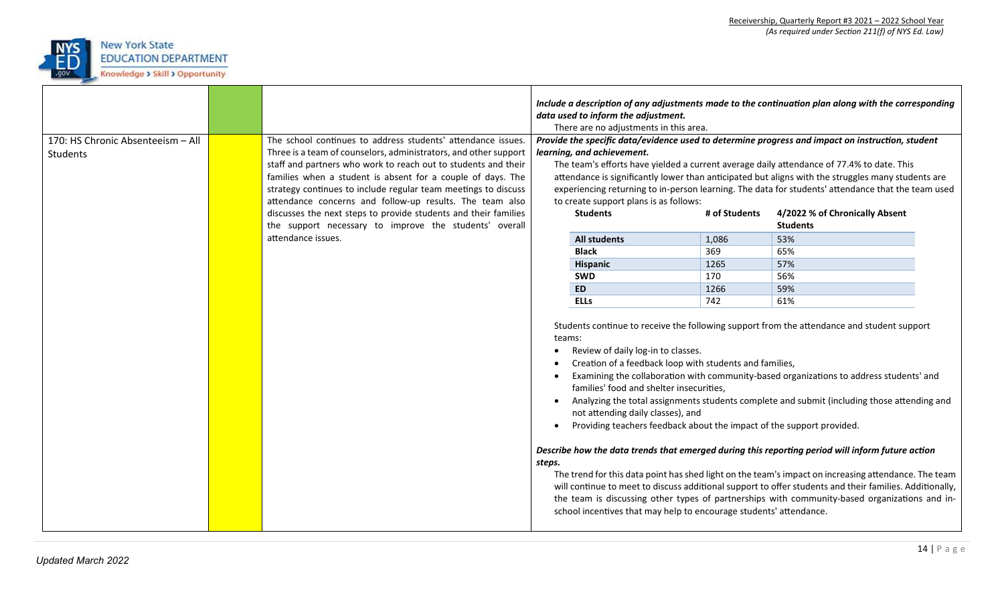

| 170: HS Chronic Absenteeism - All | The school continues to address students' attendance issues.                                                                       |                                                                                                                                                                                                                                                                                                                                                                                                                                                                                                                                                           | data used to inform the adjustment.<br>There are no adjustments in this area. |               | Include a description of any adjustments made to the continuation plan along with the corresponding<br>Provide the specific data/evidence used to determine progress and impact on instruction, student  |  |
|-----------------------------------|------------------------------------------------------------------------------------------------------------------------------------|-----------------------------------------------------------------------------------------------------------------------------------------------------------------------------------------------------------------------------------------------------------------------------------------------------------------------------------------------------------------------------------------------------------------------------------------------------------------------------------------------------------------------------------------------------------|-------------------------------------------------------------------------------|---------------|----------------------------------------------------------------------------------------------------------------------------------------------------------------------------------------------------------|--|
| Students                          | Three is a team of counselors, administrators, and other support<br>staff and partners who work to reach out to students and their |                                                                                                                                                                                                                                                                                                                                                                                                                                                                                                                                                           | learning, and achievement.                                                    |               | The team's efforts have yielded a current average daily attendance of 77.4% to date. This                                                                                                                |  |
|                                   | families when a student is absent for a couple of days. The                                                                        |                                                                                                                                                                                                                                                                                                                                                                                                                                                                                                                                                           |                                                                               |               | attendance is significantly lower than anticipated but aligns with the struggles many students are                                                                                                       |  |
|                                   | strategy continues to include regular team meetings to discuss                                                                     |                                                                                                                                                                                                                                                                                                                                                                                                                                                                                                                                                           |                                                                               |               | experiencing returning to in-person learning. The data for students' attendance that the team used                                                                                                       |  |
|                                   | attendance concerns and follow-up results. The team also                                                                           |                                                                                                                                                                                                                                                                                                                                                                                                                                                                                                                                                           | to create support plans is as follows:                                        |               |                                                                                                                                                                                                          |  |
|                                   | discusses the next steps to provide students and their families                                                                    |                                                                                                                                                                                                                                                                                                                                                                                                                                                                                                                                                           | <b>Students</b>                                                               | # of Students | 4/2022 % of Chronically Absent                                                                                                                                                                           |  |
|                                   | the support necessary to improve the students' overall                                                                             |                                                                                                                                                                                                                                                                                                                                                                                                                                                                                                                                                           |                                                                               |               | <b>Students</b>                                                                                                                                                                                          |  |
|                                   | attendance issues.                                                                                                                 |                                                                                                                                                                                                                                                                                                                                                                                                                                                                                                                                                           | <b>All students</b>                                                           | 1,086         | 53%                                                                                                                                                                                                      |  |
|                                   |                                                                                                                                    |                                                                                                                                                                                                                                                                                                                                                                                                                                                                                                                                                           | <b>Black</b>                                                                  | 369           | 65%                                                                                                                                                                                                      |  |
|                                   |                                                                                                                                    |                                                                                                                                                                                                                                                                                                                                                                                                                                                                                                                                                           | <b>Hispanic</b>                                                               | 1265          | 57%                                                                                                                                                                                                      |  |
|                                   |                                                                                                                                    |                                                                                                                                                                                                                                                                                                                                                                                                                                                                                                                                                           | <b>SWD</b>                                                                    | 170           | 56%                                                                                                                                                                                                      |  |
|                                   |                                                                                                                                    |                                                                                                                                                                                                                                                                                                                                                                                                                                                                                                                                                           | <b>ED</b>                                                                     | 1266          | 59%                                                                                                                                                                                                      |  |
|                                   |                                                                                                                                    |                                                                                                                                                                                                                                                                                                                                                                                                                                                                                                                                                           | <b>ELLs</b>                                                                   | 742           | 61%                                                                                                                                                                                                      |  |
|                                   |                                                                                                                                    | Students continue to receive the following support from the attendance and student support<br>teams:<br>Review of daily log-in to classes.<br>Creation of a feedback loop with students and families,<br>Examining the collaboration with community-based organizations to address students' and<br>families' food and shelter insecurities,<br>Analyzing the total assignments students complete and submit (including those attending and<br>not attending daily classes), and<br>Providing teachers feedback about the impact of the support provided. |                                                                               |               |                                                                                                                                                                                                          |  |
|                                   |                                                                                                                                    | Describe how the data trends that emerged during this reporting period will inform future action<br>steps.<br>The trend for this data point has shed light on the team's impact on increasing attendance. The team                                                                                                                                                                                                                                                                                                                                        |                                                                               |               |                                                                                                                                                                                                          |  |
|                                   |                                                                                                                                    |                                                                                                                                                                                                                                                                                                                                                                                                                                                                                                                                                           | school incentives that may help to encourage students' attendance.            |               | will continue to meet to discuss additional support to offer students and their families. Additionally,<br>the team is discussing other types of partnerships with community-based organizations and in- |  |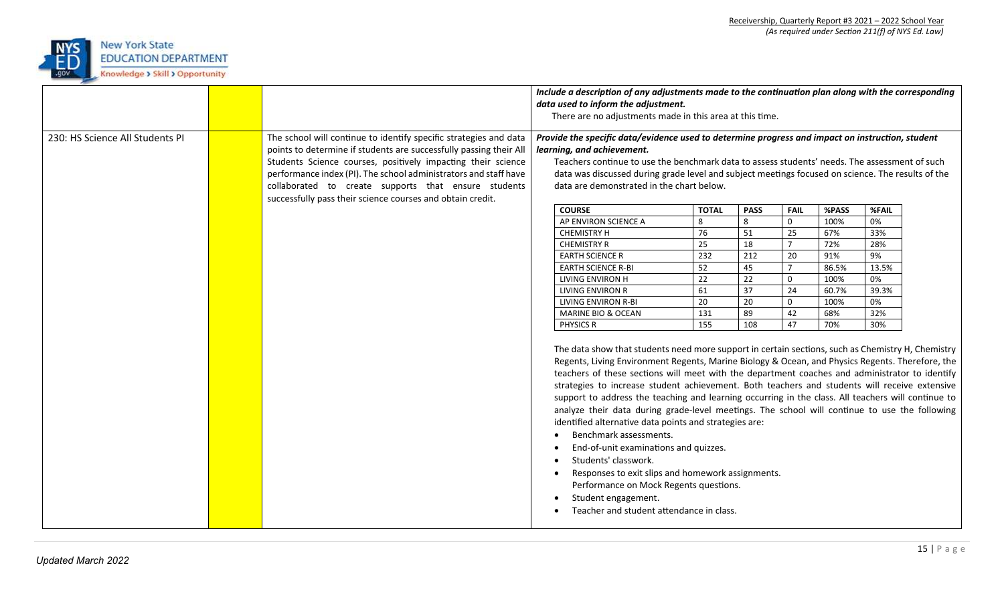

|                                 |                                                                                                                                                                                                                                                                                                                                                                                                   | Include a description of any adjustments made to the continuation plan along with the corresponding<br>data used to inform the adjustment.<br>There are no adjustments made in this area at this time. |                                                                                                                                                                                                                                                                                                                                                                                                                                                                                                                                                                                                                                                                                                                                                                                                                                                                                                                                                                                                                                                                                                                                                                                                                                                           |                                                                            |                                                                                                    |                                                                                                                            |                                                                                    |                                                                             |  |
|---------------------------------|---------------------------------------------------------------------------------------------------------------------------------------------------------------------------------------------------------------------------------------------------------------------------------------------------------------------------------------------------------------------------------------------------|--------------------------------------------------------------------------------------------------------------------------------------------------------------------------------------------------------|-----------------------------------------------------------------------------------------------------------------------------------------------------------------------------------------------------------------------------------------------------------------------------------------------------------------------------------------------------------------------------------------------------------------------------------------------------------------------------------------------------------------------------------------------------------------------------------------------------------------------------------------------------------------------------------------------------------------------------------------------------------------------------------------------------------------------------------------------------------------------------------------------------------------------------------------------------------------------------------------------------------------------------------------------------------------------------------------------------------------------------------------------------------------------------------------------------------------------------------------------------------|----------------------------------------------------------------------------|----------------------------------------------------------------------------------------------------|----------------------------------------------------------------------------------------------------------------------------|------------------------------------------------------------------------------------|-----------------------------------------------------------------------------|--|
| 230: HS Science All Students PI | The school will continue to identify specific strategies and data<br>points to determine if students are successfully passing their All<br>Students Science courses, positively impacting their science<br>performance index (PI). The school administrators and staff have<br>collaborated to create supports that ensure students<br>successfully pass their science courses and obtain credit. |                                                                                                                                                                                                        | Provide the specific data/evidence used to determine progress and impact on instruction, student<br>learning, and achievement.<br>Teachers continue to use the benchmark data to assess students' needs. The assessment of such<br>data was discussed during grade level and subject meetings focused on science. The results of the<br>data are demonstrated in the chart below.<br><b>COURSE</b><br>AP ENVIRON SCIENCE A<br><b>CHEMISTRY H</b><br><b>CHEMISTRY R</b><br><b>EARTH SCIENCE R</b><br><b>EARTH SCIENCE R-BI</b><br>LIVING ENVIRON H<br>LIVING ENVIRON R<br>LIVING ENVIRON R-BI<br>MARINE BIO & OCEAN<br><b>PHYSICS R</b><br>The data show that students need more support in certain sections, such as Chemistry H, Chemistry<br>Regents, Living Environment Regents, Marine Biology & Ocean, and Physics Regents. Therefore, the<br>teachers of these sections will meet with the department coaches and administrator to identify<br>strategies to increase student achievement. Both teachers and students will receive extensive<br>support to address the teaching and learning occurring in the class. All teachers will continue to<br>analyze their data during grade-level meetings. The school will continue to use the following | <b>TOTAL</b><br>8<br>76<br>25<br>232<br>52<br>22<br>61<br>20<br>131<br>155 | <b>PASS</b><br>8<br>51<br>18<br>$\overline{212}$<br>45<br>22<br>$\overline{37}$<br>20<br>89<br>108 | <b>FAIL</b><br>$\mathbf 0$<br>25<br>$7^{\circ}$<br>$\overline{20}$<br>$\overline{7}$<br>$\mathbf 0$<br>24<br>0<br>42<br>47 | %PASS<br>100%<br>67%<br>72%<br>91%<br>86.5%<br>100%<br>60.7%<br>100%<br>68%<br>70% | %FAIL<br>0%<br>33%<br>28%<br>9%<br>13.5%<br>0%<br>39.3%<br>0%<br>32%<br>30% |  |
|                                 |                                                                                                                                                                                                                                                                                                                                                                                                   |                                                                                                                                                                                                        | identified alternative data points and strategies are:<br>Benchmark assessments.<br>End-of-unit examinations and quizzes.<br>Students' classwork.<br>Responses to exit slips and homework assignments.<br>Performance on Mock Regents questions.<br>Student engagement.<br>Teacher and student attendance in class.                                                                                                                                                                                                                                                                                                                                                                                                                                                                                                                                                                                                                                                                                                                                                                                                                                                                                                                                       |                                                                            |                                                                                                    |                                                                                                                            |                                                                                    |                                                                             |  |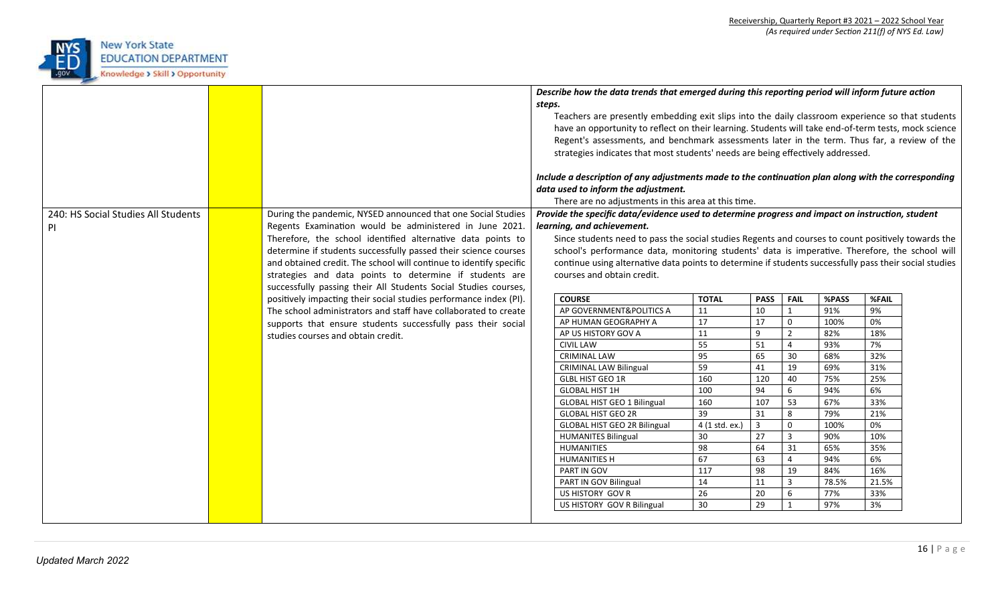

|                                     |                                                                    | steps. | Describe how the data trends that emerged during this reporting period will inform future action<br>Teachers are presently embedding exit slips into the daily classroom experience so that students<br>have an opportunity to reflect on their learning. Students will take end-of-term tests, mock science<br>Regent's assessments, and benchmark assessments later in the term. Thus far, a review of the<br>strategies indicates that most students' needs are being effectively addressed.<br>Include a description of any adjustments made to the continuation plan along with the corresponding<br>data used to inform the adjustment.<br>There are no adjustments in this area at this time. |                |                |                            |            |           |  |
|-------------------------------------|--------------------------------------------------------------------|--------|------------------------------------------------------------------------------------------------------------------------------------------------------------------------------------------------------------------------------------------------------------------------------------------------------------------------------------------------------------------------------------------------------------------------------------------------------------------------------------------------------------------------------------------------------------------------------------------------------------------------------------------------------------------------------------------------------|----------------|----------------|----------------------------|------------|-----------|--|
| 240: HS Social Studies All Students | During the pandemic, NYSED announced that one Social Studies       |        | Provide the specific data/evidence used to determine progress and impact on instruction, student                                                                                                                                                                                                                                                                                                                                                                                                                                                                                                                                                                                                     |                |                |                            |            |           |  |
| <b>PI</b>                           | Regents Examination would be administered in June 2021.            |        | learning, and achievement.                                                                                                                                                                                                                                                                                                                                                                                                                                                                                                                                                                                                                                                                           |                |                |                            |            |           |  |
|                                     | Therefore, the school identified alternative data points to        |        | Since students need to pass the social studies Regents and courses to count positively towards the                                                                                                                                                                                                                                                                                                                                                                                                                                                                                                                                                                                                   |                |                |                            |            |           |  |
|                                     | determine if students successfully passed their science courses    |        | school's performance data, monitoring students' data is imperative. Therefore, the school will                                                                                                                                                                                                                                                                                                                                                                                                                                                                                                                                                                                                       |                |                |                            |            |           |  |
|                                     | and obtained credit. The school will continue to identify specific |        | continue using alternative data points to determine if students successfully pass their social studies                                                                                                                                                                                                                                                                                                                                                                                                                                                                                                                                                                                               |                |                |                            |            |           |  |
|                                     | strategies and data points to determine if students are            |        | courses and obtain credit.                                                                                                                                                                                                                                                                                                                                                                                                                                                                                                                                                                                                                                                                           |                |                |                            |            |           |  |
|                                     | successfully passing their All Students Social Studies courses,    |        |                                                                                                                                                                                                                                                                                                                                                                                                                                                                                                                                                                                                                                                                                                      |                |                |                            |            |           |  |
|                                     | positively impacting their social studies performance index (PI).  |        | <b>COURSE</b>                                                                                                                                                                                                                                                                                                                                                                                                                                                                                                                                                                                                                                                                                        | <b>TOTAL</b>   | <b>PASS</b>    | <b>FAIL</b>                | %PASS      | %FAIL     |  |
|                                     | The school administrators and staff have collaborated to create    |        | AP GOVERNMENT&POLITICS A                                                                                                                                                                                                                                                                                                                                                                                                                                                                                                                                                                                                                                                                             | 11             | 10             | $\mathbf{1}$               | 91%        | 9%        |  |
|                                     | supports that ensure students successfully pass their social       |        | AP HUMAN GEOGRAPHY A                                                                                                                                                                                                                                                                                                                                                                                                                                                                                                                                                                                                                                                                                 | 17             | 17             | $\mathbf 0$                | 100%       | 0%        |  |
|                                     | studies courses and obtain credit.                                 |        | AP US HISTORY GOV A<br><b>CIVIL LAW</b>                                                                                                                                                                                                                                                                                                                                                                                                                                                                                                                                                                                                                                                              | 11<br>55       | 9<br>51        | $\overline{2}$<br>$\Delta$ | 82%<br>93% | 18%<br>7% |  |
|                                     |                                                                    |        | <b>CRIMINAL LAW</b>                                                                                                                                                                                                                                                                                                                                                                                                                                                                                                                                                                                                                                                                                  | 95             | 65             | 30                         | 68%        | 32%       |  |
|                                     |                                                                    |        | <b>CRIMINAL LAW Bilingual</b>                                                                                                                                                                                                                                                                                                                                                                                                                                                                                                                                                                                                                                                                        | 59             | 41             | 19                         | 69%        | 31%       |  |
|                                     |                                                                    |        | <b>GLBL HIST GEO 1R</b>                                                                                                                                                                                                                                                                                                                                                                                                                                                                                                                                                                                                                                                                              | 160            | 120            | 40                         | 75%        | 25%       |  |
|                                     |                                                                    |        | <b>GLOBAL HIST 1H</b>                                                                                                                                                                                                                                                                                                                                                                                                                                                                                                                                                                                                                                                                                | 100            | 94             | 6                          | 94%        | 6%        |  |
|                                     |                                                                    |        | <b>GLOBAL HIST GEO 1 Bilingual</b>                                                                                                                                                                                                                                                                                                                                                                                                                                                                                                                                                                                                                                                                   | 160            | 107            | 53                         | 67%        | 33%       |  |
|                                     |                                                                    |        | <b>GLOBAL HIST GEO 2R</b>                                                                                                                                                                                                                                                                                                                                                                                                                                                                                                                                                                                                                                                                            | 39             | 31             | 8                          | 79%        | 21%       |  |
|                                     |                                                                    |        | <b>GLOBAL HIST GEO 2R Bilingual</b>                                                                                                                                                                                                                                                                                                                                                                                                                                                                                                                                                                                                                                                                  | 4 (1 std. ex.) | $\overline{3}$ | $\Omega$                   | 100%       | 0%        |  |
|                                     |                                                                    |        | <b>HUMANITES Bilingual</b>                                                                                                                                                                                                                                                                                                                                                                                                                                                                                                                                                                                                                                                                           | 30             | 27             | $\overline{3}$             | 90%        | 10%       |  |
|                                     |                                                                    |        | HUMANITIES                                                                                                                                                                                                                                                                                                                                                                                                                                                                                                                                                                                                                                                                                           | 98             | 64             | 31                         | 65%        | 35%       |  |
|                                     |                                                                    |        | <b>HUMANITIES H</b>                                                                                                                                                                                                                                                                                                                                                                                                                                                                                                                                                                                                                                                                                  | 67             | 63             | $\overline{4}$             | 94%        | 6%        |  |
|                                     |                                                                    |        | PART IN GOV                                                                                                                                                                                                                                                                                                                                                                                                                                                                                                                                                                                                                                                                                          | 117            | 98             | 19                         | 84%        | 16%       |  |
|                                     |                                                                    |        | PART IN GOV Bilingual                                                                                                                                                                                                                                                                                                                                                                                                                                                                                                                                                                                                                                                                                | 14             | 11             | $\overline{3}$             | 78.5%      | 21.5%     |  |
|                                     |                                                                    |        | US HISTORY GOV R<br>US HISTORY GOV R Bilingual                                                                                                                                                                                                                                                                                                                                                                                                                                                                                                                                                                                                                                                       | 26<br>30       | 20<br>29       | 6                          | 77%<br>97% | 33%<br>3% |  |
|                                     |                                                                    |        |                                                                                                                                                                                                                                                                                                                                                                                                                                                                                                                                                                                                                                                                                                      |                |                |                            |            |           |  |
|                                     |                                                                    |        |                                                                                                                                                                                                                                                                                                                                                                                                                                                                                                                                                                                                                                                                                                      |                |                |                            |            |           |  |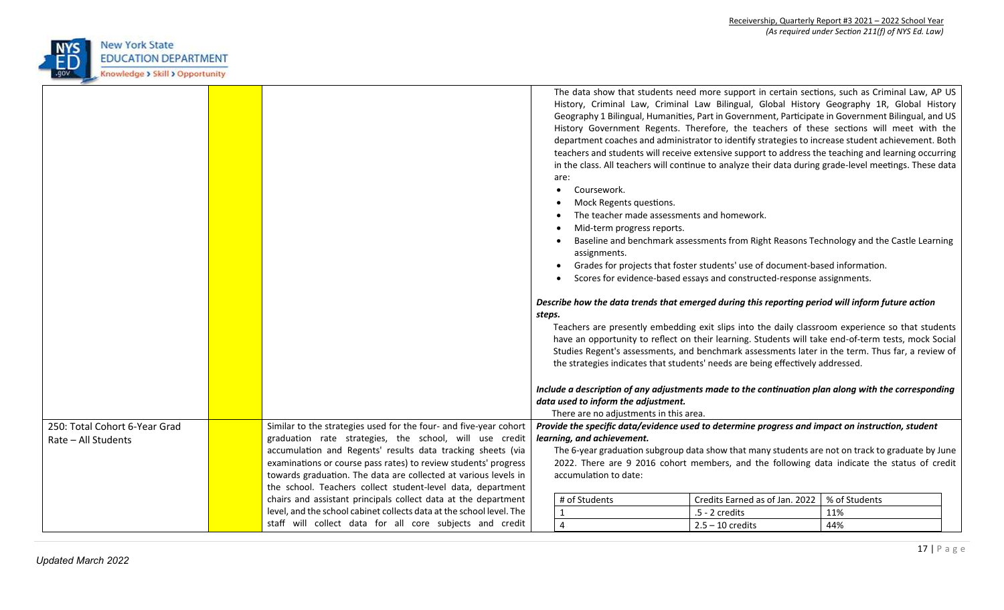

|                               |                                                                      | steps. | are:<br>Coursework.<br>Mock Regents questions.<br>The teacher made assessments and homework.<br>Mid-term progress reports.<br>assignments.<br>data used to inform the adjustment.<br>There are no adjustments in this area. | The data show that students need more support in certain sections, such as Criminal Law, AP US<br>History, Criminal Law, Criminal Law Bilingual, Global History Geography 1R, Global History<br>Geography 1 Bilingual, Humanities, Part in Government, Participate in Government Bilingual, and US<br>History Government Regents. Therefore, the teachers of these sections will meet with the<br>department coaches and administrator to identify strategies to increase student achievement. Both<br>teachers and students will receive extensive support to address the teaching and learning occurring<br>in the class. All teachers will continue to analyze their data during grade-level meetings. These data<br>Baseline and benchmark assessments from Right Reasons Technology and the Castle Learning<br>Grades for projects that foster students' use of document-based information.<br>Scores for evidence-based essays and constructed-response assignments.<br>Describe how the data trends that emerged during this reporting period will inform future action<br>Teachers are presently embedding exit slips into the daily classroom experience so that students<br>have an opportunity to reflect on their learning. Students will take end-of-term tests, mock Social<br>Studies Regent's assessments, and benchmark assessments later in the term. Thus far, a review of<br>the strategies indicates that students' needs are being effectively addressed.<br>Include a description of any adjustments made to the continuation plan along with the corresponding |               |  |
|-------------------------------|----------------------------------------------------------------------|--------|-----------------------------------------------------------------------------------------------------------------------------------------------------------------------------------------------------------------------------|----------------------------------------------------------------------------------------------------------------------------------------------------------------------------------------------------------------------------------------------------------------------------------------------------------------------------------------------------------------------------------------------------------------------------------------------------------------------------------------------------------------------------------------------------------------------------------------------------------------------------------------------------------------------------------------------------------------------------------------------------------------------------------------------------------------------------------------------------------------------------------------------------------------------------------------------------------------------------------------------------------------------------------------------------------------------------------------------------------------------------------------------------------------------------------------------------------------------------------------------------------------------------------------------------------------------------------------------------------------------------------------------------------------------------------------------------------------------------------------------------------------------------------------------------------------------------------------|---------------|--|
| 250: Total Cohort 6-Year Grad | Similar to the strategies used for the four- and five-year cohort    |        |                                                                                                                                                                                                                             | Provide the specific data/evidence used to determine progress and impact on instruction, student                                                                                                                                                                                                                                                                                                                                                                                                                                                                                                                                                                                                                                                                                                                                                                                                                                                                                                                                                                                                                                                                                                                                                                                                                                                                                                                                                                                                                                                                                       |               |  |
| Rate - All Students           | graduation rate strategies, the school, will use credit              |        | learning, and achievement.                                                                                                                                                                                                  |                                                                                                                                                                                                                                                                                                                                                                                                                                                                                                                                                                                                                                                                                                                                                                                                                                                                                                                                                                                                                                                                                                                                                                                                                                                                                                                                                                                                                                                                                                                                                                                        |               |  |
|                               | accumulation and Regents' results data tracking sheets (via          |        |                                                                                                                                                                                                                             | The 6-year graduation subgroup data show that many students are not on track to graduate by June                                                                                                                                                                                                                                                                                                                                                                                                                                                                                                                                                                                                                                                                                                                                                                                                                                                                                                                                                                                                                                                                                                                                                                                                                                                                                                                                                                                                                                                                                       |               |  |
|                               | examinations or course pass rates) to review students' progress      |        |                                                                                                                                                                                                                             | 2022. There are 9 2016 cohort members, and the following data indicate the status of credit                                                                                                                                                                                                                                                                                                                                                                                                                                                                                                                                                                                                                                                                                                                                                                                                                                                                                                                                                                                                                                                                                                                                                                                                                                                                                                                                                                                                                                                                                            |               |  |
|                               | towards graduation. The data are collected at various levels in      |        | accumulation to date:                                                                                                                                                                                                       |                                                                                                                                                                                                                                                                                                                                                                                                                                                                                                                                                                                                                                                                                                                                                                                                                                                                                                                                                                                                                                                                                                                                                                                                                                                                                                                                                                                                                                                                                                                                                                                        |               |  |
|                               | the school. Teachers collect student-level data, department          |        |                                                                                                                                                                                                                             |                                                                                                                                                                                                                                                                                                                                                                                                                                                                                                                                                                                                                                                                                                                                                                                                                                                                                                                                                                                                                                                                                                                                                                                                                                                                                                                                                                                                                                                                                                                                                                                        |               |  |
|                               | chairs and assistant principals collect data at the department       |        | # of Students                                                                                                                                                                                                               | Credits Earned as of Jan. 2022                                                                                                                                                                                                                                                                                                                                                                                                                                                                                                                                                                                                                                                                                                                                                                                                                                                                                                                                                                                                                                                                                                                                                                                                                                                                                                                                                                                                                                                                                                                                                         | % of Students |  |
|                               | level, and the school cabinet collects data at the school level. The |        | $\mathbf{1}$                                                                                                                                                                                                                | .5 - 2 credits                                                                                                                                                                                                                                                                                                                                                                                                                                                                                                                                                                                                                                                                                                                                                                                                                                                                                                                                                                                                                                                                                                                                                                                                                                                                                                                                                                                                                                                                                                                                                                         | 11%           |  |
|                               | staff will collect data for all core subjects and credit             |        | $\overline{4}$                                                                                                                                                                                                              | $2.5 - 10$ credits                                                                                                                                                                                                                                                                                                                                                                                                                                                                                                                                                                                                                                                                                                                                                                                                                                                                                                                                                                                                                                                                                                                                                                                                                                                                                                                                                                                                                                                                                                                                                                     | 44%           |  |
|                               |                                                                      |        |                                                                                                                                                                                                                             |                                                                                                                                                                                                                                                                                                                                                                                                                                                                                                                                                                                                                                                                                                                                                                                                                                                                                                                                                                                                                                                                                                                                                                                                                                                                                                                                                                                                                                                                                                                                                                                        |               |  |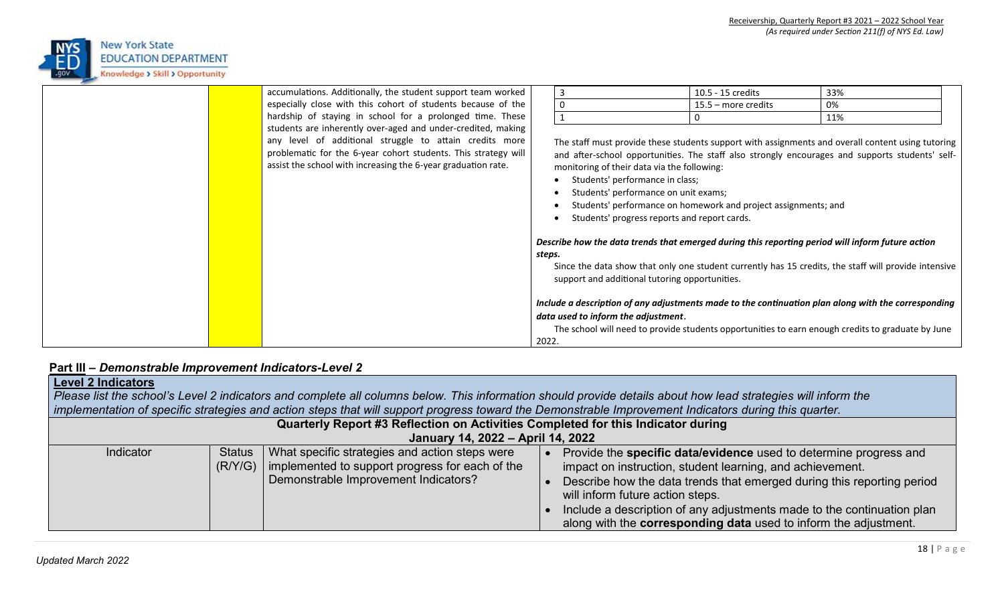

|  | accumulations. Additionally, the student support team worked   |                                              |                                                | 10.5 - 15 credits                                              | 33%                                                                                                  |  |  |
|--|----------------------------------------------------------------|----------------------------------------------|------------------------------------------------|----------------------------------------------------------------|------------------------------------------------------------------------------------------------------|--|--|
|  | especially close with this cohort of students because of the   |                                              | -0                                             | $15.5$ – more credits                                          | 0%                                                                                                   |  |  |
|  | hardship of staying in school for a prolonged time. These      |                                              |                                                |                                                                | 11%                                                                                                  |  |  |
|  | students are inherently over-aged and under-credited, making   |                                              |                                                |                                                                |                                                                                                      |  |  |
|  | any level of additional struggle to attain credits more        |                                              |                                                |                                                                | The staff must provide these students support with assignments and overall content using tutoring    |  |  |
|  | problematic for the 6-year cohort students. This strategy will |                                              |                                                |                                                                | and after-school opportunities. The staff also strongly encourages and supports students' self-      |  |  |
|  | assist the school with increasing the 6-year graduation rate.  |                                              | monitoring of their data via the following:    |                                                                |                                                                                                      |  |  |
|  |                                                                |                                              | Students' performance in class;                |                                                                |                                                                                                      |  |  |
|  |                                                                |                                              | Students' performance on unit exams;           |                                                                |                                                                                                      |  |  |
|  |                                                                |                                              |                                                | Students' performance on homework and project assignments; and |                                                                                                      |  |  |
|  |                                                                | Students' progress reports and report cards. |                                                |                                                                |                                                                                                      |  |  |
|  |                                                                |                                              |                                                |                                                                |                                                                                                      |  |  |
|  |                                                                |                                              |                                                |                                                                | Describe how the data trends that emerged during this reporting period will inform future action     |  |  |
|  |                                                                | steps.                                       |                                                |                                                                |                                                                                                      |  |  |
|  |                                                                |                                              |                                                |                                                                | Since the data show that only one student currently has 15 credits, the staff will provide intensive |  |  |
|  |                                                                |                                              | support and additional tutoring opportunities. |                                                                |                                                                                                      |  |  |
|  |                                                                |                                              |                                                |                                                                |                                                                                                      |  |  |
|  |                                                                |                                              |                                                |                                                                | Include a description of any adjustments made to the continuation plan along with the corresponding  |  |  |
|  |                                                                |                                              | data used to inform the adjustment.            |                                                                |                                                                                                      |  |  |
|  |                                                                |                                              |                                                |                                                                | The school will need to provide students opportunities to earn enough credits to graduate by June    |  |  |
|  |                                                                | 2022.                                        |                                                |                                                                |                                                                                                      |  |  |

## **Part III –** *Demonstrable Improvement Indicators-Level 2*

| <b>Level 2 Indicators</b><br>Please list the school's Level 2 indicators and complete all columns below. This information should provide details about how lead strategies will inform the<br>implementation of specific strategies and action steps that will support progress toward the Demonstrable Improvement Indicators during this quarter. |                          |                                                                                                                                           |  |                                                                                                                                                                                                                                                                                                                                                                                            |  |  |  |
|-----------------------------------------------------------------------------------------------------------------------------------------------------------------------------------------------------------------------------------------------------------------------------------------------------------------------------------------------------|--------------------------|-------------------------------------------------------------------------------------------------------------------------------------------|--|--------------------------------------------------------------------------------------------------------------------------------------------------------------------------------------------------------------------------------------------------------------------------------------------------------------------------------------------------------------------------------------------|--|--|--|
|                                                                                                                                                                                                                                                                                                                                                     |                          | Quarterly Report #3 Reflection on Activities Completed for this Indicator during                                                          |  |                                                                                                                                                                                                                                                                                                                                                                                            |  |  |  |
|                                                                                                                                                                                                                                                                                                                                                     |                          | January 14, 2022 - April 14, 2022                                                                                                         |  |                                                                                                                                                                                                                                                                                                                                                                                            |  |  |  |
| Indicator                                                                                                                                                                                                                                                                                                                                           | <b>Status</b><br>(R/Y/G) | What specific strategies and action steps were<br>implemented to support progress for each of the<br>Demonstrable Improvement Indicators? |  | Provide the specific data/evidence used to determine progress and<br>impact on instruction, student learning, and achievement.<br>Describe how the data trends that emerged during this reporting period<br>will inform future action steps.<br>Include a description of any adjustments made to the continuation plan<br>along with the corresponding data used to inform the adjustment. |  |  |  |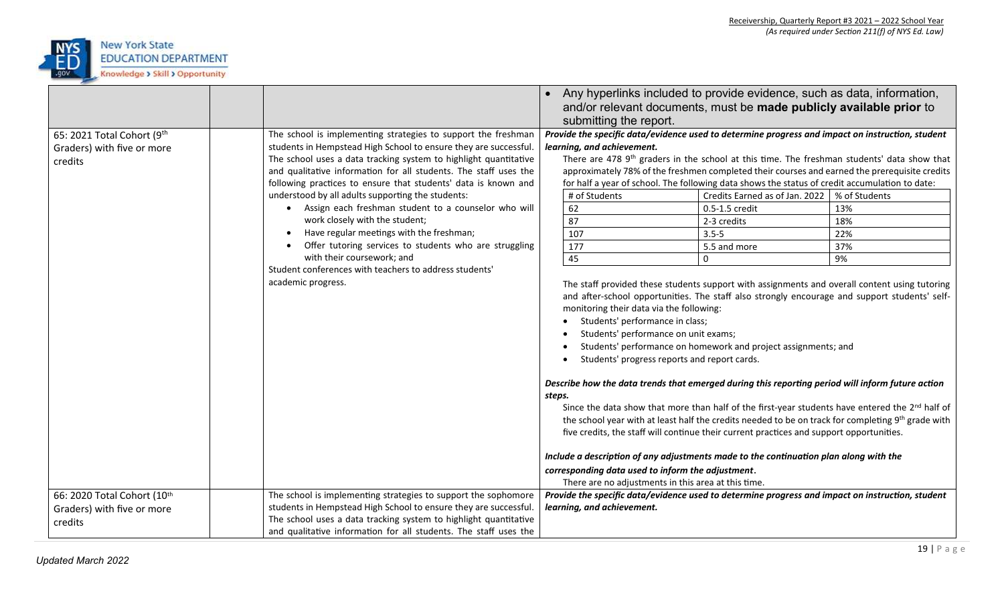

|                                                                      |                                                                                                                                                                                                                                                                                                                                                                                                                                                                                                                                                                                                                                                                                                                | Any hyperlinks included to provide evidence, such as data, information,<br>and/or relevant documents, must be made publicly available prior to<br>submitting the report.                                                                                                                                                                                                                                                                                                                                                                                                                                                                                                                                                                                                                                                                                                                                                                                                                                                                                                                                                                                                                                                                                                                                                                                                                                                                                                                                                                                                                                                                                                                                                                       |  |  |  |
|----------------------------------------------------------------------|----------------------------------------------------------------------------------------------------------------------------------------------------------------------------------------------------------------------------------------------------------------------------------------------------------------------------------------------------------------------------------------------------------------------------------------------------------------------------------------------------------------------------------------------------------------------------------------------------------------------------------------------------------------------------------------------------------------|------------------------------------------------------------------------------------------------------------------------------------------------------------------------------------------------------------------------------------------------------------------------------------------------------------------------------------------------------------------------------------------------------------------------------------------------------------------------------------------------------------------------------------------------------------------------------------------------------------------------------------------------------------------------------------------------------------------------------------------------------------------------------------------------------------------------------------------------------------------------------------------------------------------------------------------------------------------------------------------------------------------------------------------------------------------------------------------------------------------------------------------------------------------------------------------------------------------------------------------------------------------------------------------------------------------------------------------------------------------------------------------------------------------------------------------------------------------------------------------------------------------------------------------------------------------------------------------------------------------------------------------------------------------------------------------------------------------------------------------------|--|--|--|
| 65: 2021 Total Cohort (9th<br>Graders) with five or more<br>credits  | The school is implementing strategies to support the freshman<br>students in Hempstead High School to ensure they are successful.<br>The school uses a data tracking system to highlight quantitative<br>and qualitative information for all students. The staff uses the<br>following practices to ensure that students' data is known and<br>understood by all adults supporting the students:<br>Assign each freshman student to a counselor who will<br>work closely with the student;<br>Have regular meetings with the freshman;<br>Offer tutoring services to students who are struggling<br>with their coursework; and<br>Student conferences with teachers to address students'<br>academic progress. | Provide the specific data/evidence used to determine progress and impact on instruction, student<br>learning, and achievement.<br>There are 478 9 <sup>th</sup> graders in the school at this time. The freshman students' data show that<br>approximately 78% of the freshmen completed their courses and earned the prerequisite credits<br>for half a year of school. The following data shows the status of credit accumulation to date:<br># of Students<br>Credits Earned as of Jan. 2022   % of Students<br>62<br>13%<br>0.5-1.5 credit<br>87<br>18%<br>2-3 credits<br>107<br>22%<br>$3.5 - 5$<br>177<br>37%<br>5.5 and more<br>45<br>9%<br>$\mathbf{0}$<br>The staff provided these students support with assignments and overall content using tutoring<br>and after-school opportunities. The staff also strongly encourage and support students' self-<br>monitoring their data via the following:<br>Students' performance in class;<br>Students' performance on unit exams;<br>Students' performance on homework and project assignments; and<br>Students' progress reports and report cards.<br>Describe how the data trends that emerged during this reporting period will inform future action<br>steps.<br>Since the data show that more than half of the first-year students have entered the 2 <sup>nd</sup> half of<br>the school year with at least half the credits needed to be on track for completing 9th grade with<br>five credits, the staff will continue their current practices and support opportunities.<br>Include a description of any adjustments made to the continuation plan along with the<br>corresponding data used to inform the adjustment.<br>There are no adjustments in this area at this time. |  |  |  |
| 66: 2020 Total Cohort (10th<br>Graders) with five or more<br>credits | The school is implementing strategies to support the sophomore<br>students in Hempstead High School to ensure they are successful.<br>The school uses a data tracking system to highlight quantitative<br>and qualitative information for all students. The staff uses the                                                                                                                                                                                                                                                                                                                                                                                                                                     | Provide the specific data/evidence used to determine progress and impact on instruction, student<br>learning, and achievement.                                                                                                                                                                                                                                                                                                                                                                                                                                                                                                                                                                                                                                                                                                                                                                                                                                                                                                                                                                                                                                                                                                                                                                                                                                                                                                                                                                                                                                                                                                                                                                                                                 |  |  |  |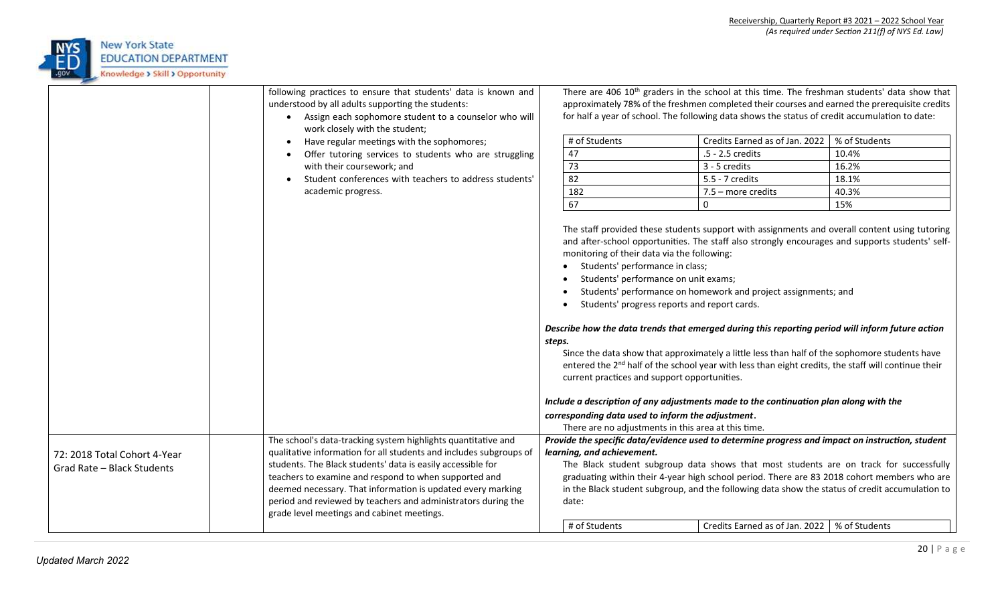

|                              | following practices to ensure that students' data is known and<br>understood by all adults supporting the students:<br>Assign each sophomore student to a counselor who will<br>$\bullet$<br>work closely with the student; | There are 406 10 <sup>th</sup> graders in the school at this time. The freshman students' data show that<br>approximately 78% of the freshmen completed their courses and earned the prerequisite credits<br>for half a year of school. The following data shows the status of credit accumulation to date: |                                                                                                                                                                                                                                                                                                                                    |                                                                                                                                                                                                                                                                                                                                                                                                                                                                                                                                                                                                                                                                                     |               |  |  |
|------------------------------|-----------------------------------------------------------------------------------------------------------------------------------------------------------------------------------------------------------------------------|-------------------------------------------------------------------------------------------------------------------------------------------------------------------------------------------------------------------------------------------------------------------------------------------------------------|------------------------------------------------------------------------------------------------------------------------------------------------------------------------------------------------------------------------------------------------------------------------------------------------------------------------------------|-------------------------------------------------------------------------------------------------------------------------------------------------------------------------------------------------------------------------------------------------------------------------------------------------------------------------------------------------------------------------------------------------------------------------------------------------------------------------------------------------------------------------------------------------------------------------------------------------------------------------------------------------------------------------------------|---------------|--|--|
|                              | Have regular meetings with the sophomores;<br>$\bullet$                                                                                                                                                                     | # of Students                                                                                                                                                                                                                                                                                               |                                                                                                                                                                                                                                                                                                                                    | Credits Earned as of Jan. 2022                                                                                                                                                                                                                                                                                                                                                                                                                                                                                                                                                                                                                                                      | % of Students |  |  |
|                              | Offer tutoring services to students who are struggling                                                                                                                                                                      | 47                                                                                                                                                                                                                                                                                                          |                                                                                                                                                                                                                                                                                                                                    | .5 - 2.5 credits                                                                                                                                                                                                                                                                                                                                                                                                                                                                                                                                                                                                                                                                    | 10.4%         |  |  |
|                              | with their coursework; and                                                                                                                                                                                                  | 73                                                                                                                                                                                                                                                                                                          |                                                                                                                                                                                                                                                                                                                                    | 3 - 5 credits                                                                                                                                                                                                                                                                                                                                                                                                                                                                                                                                                                                                                                                                       | 16.2%         |  |  |
|                              | Student conferences with teachers to address students'<br>$\bullet$                                                                                                                                                         | 82                                                                                                                                                                                                                                                                                                          |                                                                                                                                                                                                                                                                                                                                    | 5.5 - 7 credits                                                                                                                                                                                                                                                                                                                                                                                                                                                                                                                                                                                                                                                                     | 18.1%         |  |  |
|                              | academic progress.                                                                                                                                                                                                          | 182                                                                                                                                                                                                                                                                                                         |                                                                                                                                                                                                                                                                                                                                    | $7.5$ – more credits                                                                                                                                                                                                                                                                                                                                                                                                                                                                                                                                                                                                                                                                | 40.3%         |  |  |
|                              |                                                                                                                                                                                                                             | 67                                                                                                                                                                                                                                                                                                          |                                                                                                                                                                                                                                                                                                                                    | 0                                                                                                                                                                                                                                                                                                                                                                                                                                                                                                                                                                                                                                                                                   | 15%           |  |  |
|                              |                                                                                                                                                                                                                             | steps.                                                                                                                                                                                                                                                                                                      | monitoring of their data via the following:<br>Students' performance in class;<br>Students' performance on unit exams;<br>Students' progress reports and report cards.<br>current practices and support opportunities.<br>corresponding data used to inform the adjustment.<br>There are no adjustments in this area at this time. | The staff provided these students support with assignments and overall content using tutoring<br>and after-school opportunities. The staff also strongly encourages and supports students' self-<br>Students' performance on homework and project assignments; and<br>Describe how the data trends that emerged during this reporting period will inform future action<br>Since the data show that approximately a little less than half of the sophomore students have<br>entered the 2 <sup>nd</sup> half of the school year with less than eight credits, the staff will continue their<br>Include a description of any adjustments made to the continuation plan along with the |               |  |  |
|                              | The school's data-tracking system highlights quantitative and                                                                                                                                                               |                                                                                                                                                                                                                                                                                                             |                                                                                                                                                                                                                                                                                                                                    | Provide the specific data/evidence used to determine progress and impact on instruction, student                                                                                                                                                                                                                                                                                                                                                                                                                                                                                                                                                                                    |               |  |  |
| 72: 2018 Total Cohort 4-Year | qualitative information for all students and includes subgroups of                                                                                                                                                          | learning, and achievement.                                                                                                                                                                                                                                                                                  |                                                                                                                                                                                                                                                                                                                                    |                                                                                                                                                                                                                                                                                                                                                                                                                                                                                                                                                                                                                                                                                     |               |  |  |
| Grad Rate - Black Students   | students. The Black students' data is easily accessible for                                                                                                                                                                 |                                                                                                                                                                                                                                                                                                             |                                                                                                                                                                                                                                                                                                                                    | The Black student subgroup data shows that most students are on track for successfully                                                                                                                                                                                                                                                                                                                                                                                                                                                                                                                                                                                              |               |  |  |
|                              | teachers to examine and respond to when supported and                                                                                                                                                                       |                                                                                                                                                                                                                                                                                                             |                                                                                                                                                                                                                                                                                                                                    | graduating within their 4-year high school period. There are 83 2018 cohort members who are                                                                                                                                                                                                                                                                                                                                                                                                                                                                                                                                                                                         |               |  |  |
|                              | deemed necessary. That information is updated every marking                                                                                                                                                                 |                                                                                                                                                                                                                                                                                                             |                                                                                                                                                                                                                                                                                                                                    | in the Black student subgroup, and the following data show the status of credit accumulation to                                                                                                                                                                                                                                                                                                                                                                                                                                                                                                                                                                                     |               |  |  |
|                              | period and reviewed by teachers and administrators during the                                                                                                                                                               | date:                                                                                                                                                                                                                                                                                                       |                                                                                                                                                                                                                                                                                                                                    |                                                                                                                                                                                                                                                                                                                                                                                                                                                                                                                                                                                                                                                                                     |               |  |  |
|                              | grade level meetings and cabinet meetings.                                                                                                                                                                                  |                                                                                                                                                                                                                                                                                                             |                                                                                                                                                                                                                                                                                                                                    |                                                                                                                                                                                                                                                                                                                                                                                                                                                                                                                                                                                                                                                                                     |               |  |  |
|                              |                                                                                                                                                                                                                             | # of Students                                                                                                                                                                                                                                                                                               |                                                                                                                                                                                                                                                                                                                                    | Credits Earned as of Jan. 2022   % of Students                                                                                                                                                                                                                                                                                                                                                                                                                                                                                                                                                                                                                                      |               |  |  |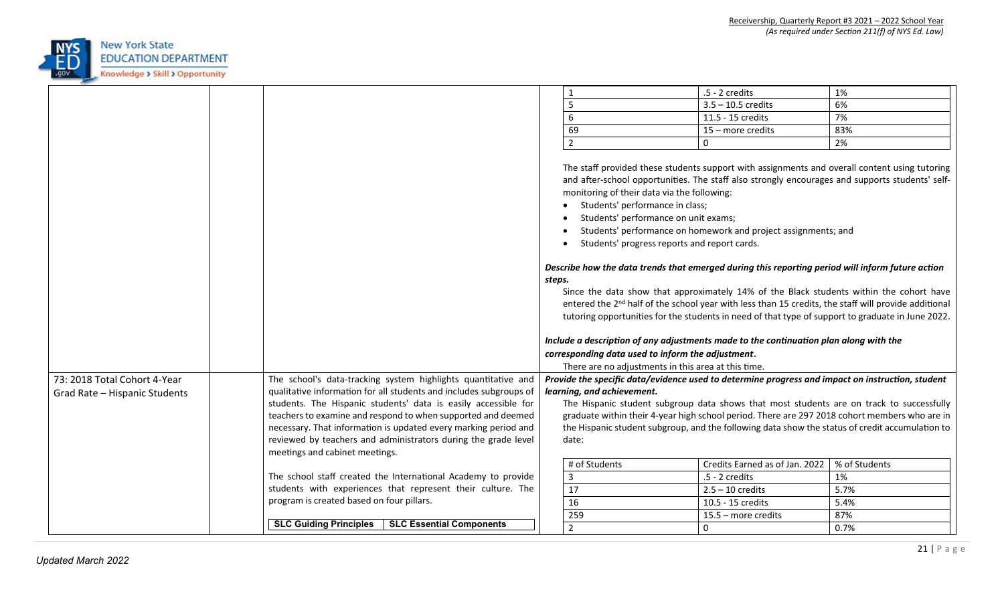

|                                                               |                                                                                                                                                                                                       |        | 1                                                                                                                                                                                                                                                                                  | .5 - 2 credits                                                                                                                                                                                                                                                                                                                                                                                                                                                                                                                                                                                                                                                                   | 1%                                                                                              |
|---------------------------------------------------------------|-------------------------------------------------------------------------------------------------------------------------------------------------------------------------------------------------------|--------|------------------------------------------------------------------------------------------------------------------------------------------------------------------------------------------------------------------------------------------------------------------------------------|----------------------------------------------------------------------------------------------------------------------------------------------------------------------------------------------------------------------------------------------------------------------------------------------------------------------------------------------------------------------------------------------------------------------------------------------------------------------------------------------------------------------------------------------------------------------------------------------------------------------------------------------------------------------------------|-------------------------------------------------------------------------------------------------|
|                                                               |                                                                                                                                                                                                       |        | 5                                                                                                                                                                                                                                                                                  | $3.5 - 10.5$ credits                                                                                                                                                                                                                                                                                                                                                                                                                                                                                                                                                                                                                                                             | 6%                                                                                              |
|                                                               |                                                                                                                                                                                                       |        | 6                                                                                                                                                                                                                                                                                  | 11.5 - 15 credits                                                                                                                                                                                                                                                                                                                                                                                                                                                                                                                                                                                                                                                                | 7%                                                                                              |
|                                                               |                                                                                                                                                                                                       |        | 69                                                                                                                                                                                                                                                                                 | 15 - more credits                                                                                                                                                                                                                                                                                                                                                                                                                                                                                                                                                                                                                                                                | 83%                                                                                             |
|                                                               |                                                                                                                                                                                                       |        | $\overline{2}$                                                                                                                                                                                                                                                                     | $\mathbf{0}$                                                                                                                                                                                                                                                                                                                                                                                                                                                                                                                                                                                                                                                                     | 2%                                                                                              |
|                                                               |                                                                                                                                                                                                       | steps. | monitoring of their data via the following:<br>Students' performance in class;<br>Students' performance on unit exams;<br>Students' progress reports and report cards.<br>corresponding data used to inform the adjustment.<br>There are no adjustments in this area at this time. | The staff provided these students support with assignments and overall content using tutoring<br>Students' performance on homework and project assignments; and<br>Describe how the data trends that emerged during this reporting period will inform future action<br>Since the data show that approximately 14% of the Black students within the cohort have<br>entered the 2 <sup>nd</sup> half of the school year with less than 15 credits, the staff will provide additional<br>tutoring opportunities for the students in need of that type of support to graduate in June 2022.<br>Include a description of any adjustments made to the continuation plan along with the | and after-school opportunities. The staff also strongly encourages and supports students' self- |
| 73: 2018 Total Cohort 4-Year<br>Grad Rate - Hispanic Students | The school's data-tracking system highlights quantitative and<br>qualitative information for all students and includes subgroups of<br>students. The Hispanic students' data is easily accessible for |        | learning, and achievement.                                                                                                                                                                                                                                                         | Provide the specific data/evidence used to determine progress and impact on instruction, student                                                                                                                                                                                                                                                                                                                                                                                                                                                                                                                                                                                 | The Hispanic student subgroup data shows that most students are on track to successfully        |
|                                                               | teachers to examine and respond to when supported and deemed                                                                                                                                          |        |                                                                                                                                                                                                                                                                                    |                                                                                                                                                                                                                                                                                                                                                                                                                                                                                                                                                                                                                                                                                  | graduate within their 4-year high school period. There are 297 2018 cohort members who are in   |
|                                                               | necessary. That information is updated every marking period and                                                                                                                                       |        |                                                                                                                                                                                                                                                                                    | the Hispanic student subgroup, and the following data show the status of credit accumulation to                                                                                                                                                                                                                                                                                                                                                                                                                                                                                                                                                                                  |                                                                                                 |
|                                                               | reviewed by teachers and administrators during the grade level                                                                                                                                        |        | date:                                                                                                                                                                                                                                                                              |                                                                                                                                                                                                                                                                                                                                                                                                                                                                                                                                                                                                                                                                                  |                                                                                                 |
|                                                               | meetings and cabinet meetings.                                                                                                                                                                        |        |                                                                                                                                                                                                                                                                                    |                                                                                                                                                                                                                                                                                                                                                                                                                                                                                                                                                                                                                                                                                  |                                                                                                 |
|                                                               |                                                                                                                                                                                                       |        | # of Students                                                                                                                                                                                                                                                                      | Credits Earned as of Jan. 2022                                                                                                                                                                                                                                                                                                                                                                                                                                                                                                                                                                                                                                                   | % of Students                                                                                   |
|                                                               | The school staff created the International Academy to provide                                                                                                                                         |        | $\overline{3}$                                                                                                                                                                                                                                                                     | $.5 - 2$ credits                                                                                                                                                                                                                                                                                                                                                                                                                                                                                                                                                                                                                                                                 | 1%                                                                                              |
|                                                               | students with experiences that represent their culture. The                                                                                                                                           |        | 17                                                                                                                                                                                                                                                                                 | $2.5 - 10$ credits                                                                                                                                                                                                                                                                                                                                                                                                                                                                                                                                                                                                                                                               | 5.7%                                                                                            |
|                                                               | program is created based on four pillars.                                                                                                                                                             |        | 16                                                                                                                                                                                                                                                                                 | 10.5 - 15 credits                                                                                                                                                                                                                                                                                                                                                                                                                                                                                                                                                                                                                                                                | 5.4%                                                                                            |
|                                                               |                                                                                                                                                                                                       |        | 259                                                                                                                                                                                                                                                                                | $15.5$ – more credits                                                                                                                                                                                                                                                                                                                                                                                                                                                                                                                                                                                                                                                            | 87%                                                                                             |
|                                                               | <b>SLC Guiding Principles</b><br>SLC Essential Components                                                                                                                                             |        | $\overline{2}$                                                                                                                                                                                                                                                                     | $\mathbf{0}$                                                                                                                                                                                                                                                                                                                                                                                                                                                                                                                                                                                                                                                                     | 0.7%                                                                                            |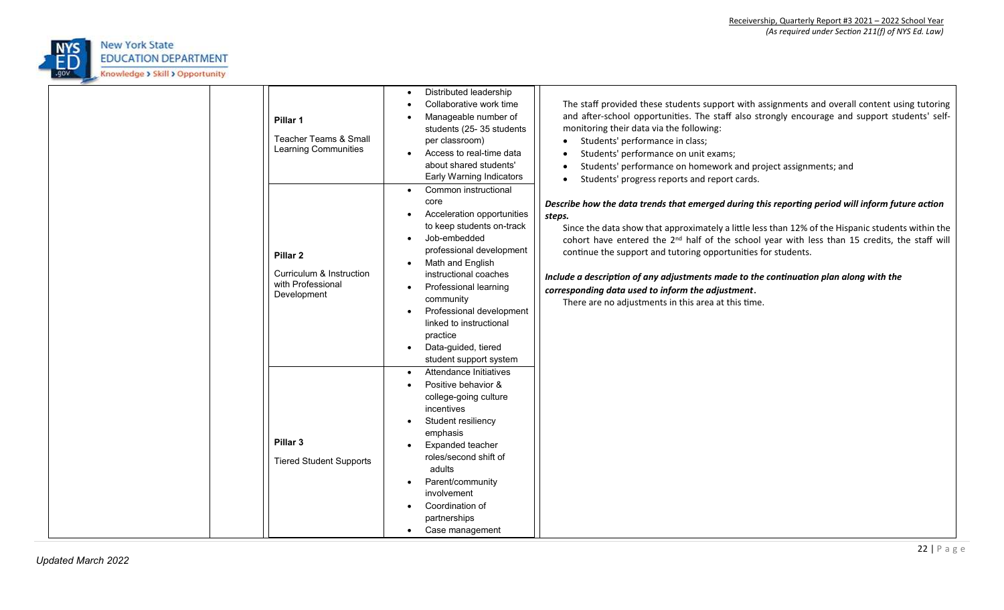

| Pillar 1<br>Teacher Teams & Small<br>Learning Communities                           | Distributed leadership<br>Collaborative work time<br>Manageable number of<br>students (25-35 students<br>per classroom)<br>Access to real-time data<br>about shared students'<br>Early Warning Indicators<br>Common instructional                                                                                  | The staff provided these students support with assignments and overall content using tutoring<br>and after-school opportunities. The staff also strongly encourage and support students' self-<br>monitoring their data via the following:<br>Students' performance in class;<br>Students' performance on unit exams;<br>Students' performance on homework and project assignments; and<br>Students' progress reports and report cards.                                                                                                                                                            |
|-------------------------------------------------------------------------------------|--------------------------------------------------------------------------------------------------------------------------------------------------------------------------------------------------------------------------------------------------------------------------------------------------------------------|----------------------------------------------------------------------------------------------------------------------------------------------------------------------------------------------------------------------------------------------------------------------------------------------------------------------------------------------------------------------------------------------------------------------------------------------------------------------------------------------------------------------------------------------------------------------------------------------------|
| Pillar <sub>2</sub><br>Curriculum & Instruction<br>with Professional<br>Development | core<br>Acceleration opportunities<br>to keep students on-track<br>Job-embedded<br>professional development<br>Math and English<br>instructional coaches<br>Professional learning<br>community<br>Professional development<br>linked to instructional<br>practice<br>Data-guided, tiered<br>student support system | Describe how the data trends that emerged during this reporting period will inform future action<br>steps.<br>Since the data show that approximately a little less than 12% of the Hispanic students within the<br>cohort have entered the 2 <sup>nd</sup> half of the school year with less than 15 credits, the staff will<br>continue the support and tutoring opportunities for students.<br>Include a description of any adjustments made to the continuation plan along with the<br>corresponding data used to inform the adjustment.<br>There are no adjustments in this area at this time. |
| Pillar <sub>3</sub><br><b>Tiered Student Supports</b>                               | Attendance Initiatives<br>Positive behavior &<br>college-going culture<br>incentives<br>Student resiliency<br>emphasis<br>Expanded teacher<br>roles/second shift of<br>adults<br>Parent/community<br>involvement<br>Coordination of<br>partnerships<br>Case management                                             |                                                                                                                                                                                                                                                                                                                                                                                                                                                                                                                                                                                                    |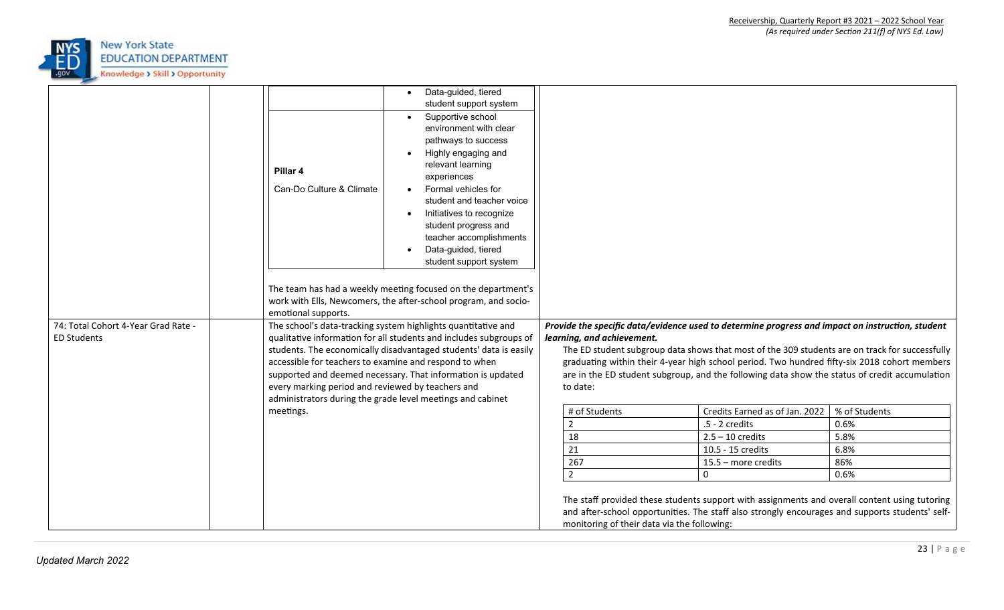

|                                                           | Pillar 4<br>Can-Do Culture & Climate                                                  | Data-guided, tiered<br>student support system<br>Supportive school<br>environment with clear<br>pathways to success<br>Highly engaging and<br>relevant learning<br>experiences<br>Formal vehicles for<br>student and teacher voice<br>Initiatives to recognize<br>student progress and<br>teacher accomplishments<br>Data-guided, tiered<br>student support system<br>The team has had a weekly meeting focused on the department's<br>work with Ells, Newcomers, the after-school program, and socio- |                                                                                                                |                                                                                                                                                                                                                                                                                                                                                                                                                                                                                                                                       |                                                      |
|-----------------------------------------------------------|---------------------------------------------------------------------------------------|--------------------------------------------------------------------------------------------------------------------------------------------------------------------------------------------------------------------------------------------------------------------------------------------------------------------------------------------------------------------------------------------------------------------------------------------------------------------------------------------------------|----------------------------------------------------------------------------------------------------------------|---------------------------------------------------------------------------------------------------------------------------------------------------------------------------------------------------------------------------------------------------------------------------------------------------------------------------------------------------------------------------------------------------------------------------------------------------------------------------------------------------------------------------------------|------------------------------------------------------|
| 74: Total Cohort 4-Year Grad Rate -<br><b>ED Students</b> | emotional supports.<br>every marking period and reviewed by teachers and<br>meetings. | The school's data-tracking system highlights quantitative and<br>qualitative information for all students and includes subgroups of<br>students. The economically disadvantaged students' data is easily<br>accessible for teachers to examine and respond to when<br>supported and deemed necessary. That information is updated<br>administrators during the grade level meetings and cabinet                                                                                                        | learning, and achievement.<br>to date:<br># of Students<br>$\overline{2}$<br>18<br>21<br>267<br>$\overline{2}$ | Provide the specific data/evidence used to determine progress and impact on instruction, student<br>The ED student subgroup data shows that most of the 309 students are on track for successfully<br>graduating within their 4-year high school period. Two hundred fifty-six 2018 cohort members<br>are in the ED student subgroup, and the following data show the status of credit accumulation<br>Credits Earned as of Jan. 2022<br>.5 - 2 credits<br>$2.5 - 10$ credits<br>10.5 - 15 credits<br>15.5 - more credits<br>$\Omega$ | % of Students<br>0.6%<br>5.8%<br>6.8%<br>86%<br>0.6% |
|                                                           |                                                                                       |                                                                                                                                                                                                                                                                                                                                                                                                                                                                                                        | monitoring of their data via the following:                                                                    | The staff provided these students support with assignments and overall content using tutoring<br>and after-school opportunities. The staff also strongly encourages and supports students' self-                                                                                                                                                                                                                                                                                                                                      |                                                      |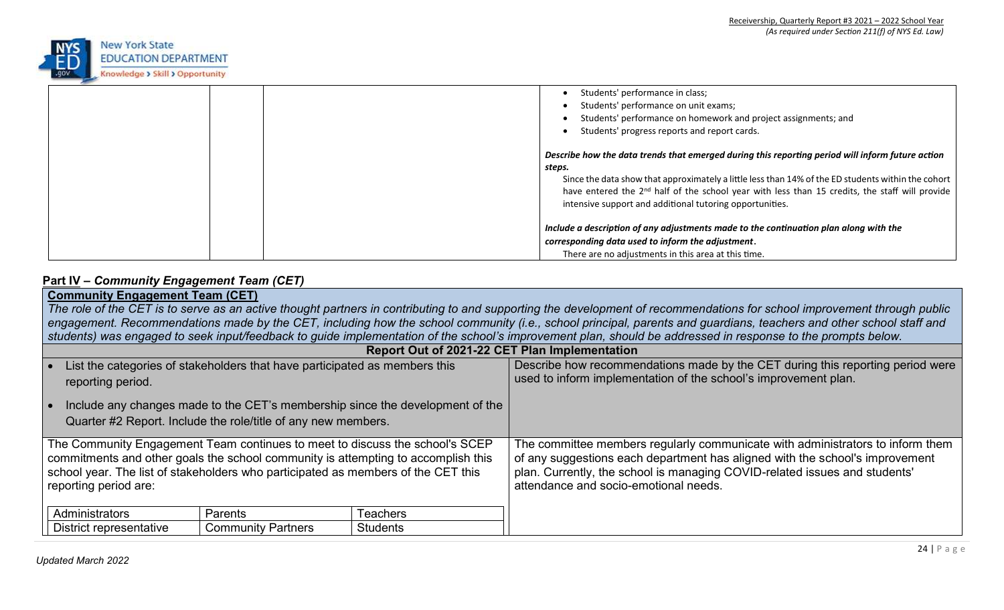

| Students' performance in class;                                                                            |
|------------------------------------------------------------------------------------------------------------|
| Students' performance on unit exams;                                                                       |
| Students' performance on homework and project assignments; and                                             |
| Students' progress reports and report cards.                                                               |
| Describe how the data trends that emerged during this reporting period will inform future action           |
| steps.                                                                                                     |
| Since the data show that approximately a little less than 14% of the ED students within the cohort         |
| have entered the 2 <sup>nd</sup> half of the school year with less than 15 credits, the staff will provide |
| intensive support and additional tutoring opportunities.                                                   |
|                                                                                                            |
| Include a description of any adjustments made to the continuation plan along with the                      |
| corresponding data used to inform the adjustment.                                                          |
| There are no adjustments in this area at this time.                                                        |

# **Part IV –** *Community Engagement Team (CET)*

| <b>Community Engagement Team (CET)</b>                                                                                                                                   |                 |                                                                                |  |  |  |
|--------------------------------------------------------------------------------------------------------------------------------------------------------------------------|-----------------|--------------------------------------------------------------------------------|--|--|--|
| The role of the CET is to serve as an active thought partners in contributing to and supporting the development of recommendations for school improvement through public |                 |                                                                                |  |  |  |
| engagement. Recommendations made by the CET, including how the school community (i.e., school principal, parents and guardians, teachers and other school staff and      |                 |                                                                                |  |  |  |
| students) was engaged to seek input/feedback to guide implementation of the school's improvement plan, should be addressed in response to the prompts below.             |                 |                                                                                |  |  |  |
| Report Out of 2021-22 CET Plan Implementation                                                                                                                            |                 |                                                                                |  |  |  |
| List the categories of stakeholders that have participated as members this                                                                                               |                 | Describe how recommendations made by the CET during this reporting period were |  |  |  |
| reporting period.                                                                                                                                                        |                 | used to inform implementation of the school's improvement plan.                |  |  |  |
|                                                                                                                                                                          |                 |                                                                                |  |  |  |
| Include any changes made to the CET's membership since the development of the                                                                                            |                 |                                                                                |  |  |  |
| Quarter #2 Report. Include the role/title of any new members.                                                                                                            |                 |                                                                                |  |  |  |
|                                                                                                                                                                          |                 |                                                                                |  |  |  |
| The Community Engagement Team continues to meet to discuss the school's SCEP                                                                                             |                 | The committee members regularly communicate with administrators to inform them |  |  |  |
| commitments and other goals the school community is attempting to accomplish this                                                                                        |                 | of any suggestions each department has aligned with the school's improvement   |  |  |  |
| school year. The list of stakeholders who participated as members of the CET this                                                                                        |                 | plan. Currently, the school is managing COVID-related issues and students'     |  |  |  |
| reporting period are:                                                                                                                                                    |                 | attendance and socio-emotional needs.                                          |  |  |  |
|                                                                                                                                                                          |                 |                                                                                |  |  |  |
| Administrators<br>Parents                                                                                                                                                | Teachers        |                                                                                |  |  |  |
| <b>Community Partners</b><br>District representative                                                                                                                     | <b>Students</b> |                                                                                |  |  |  |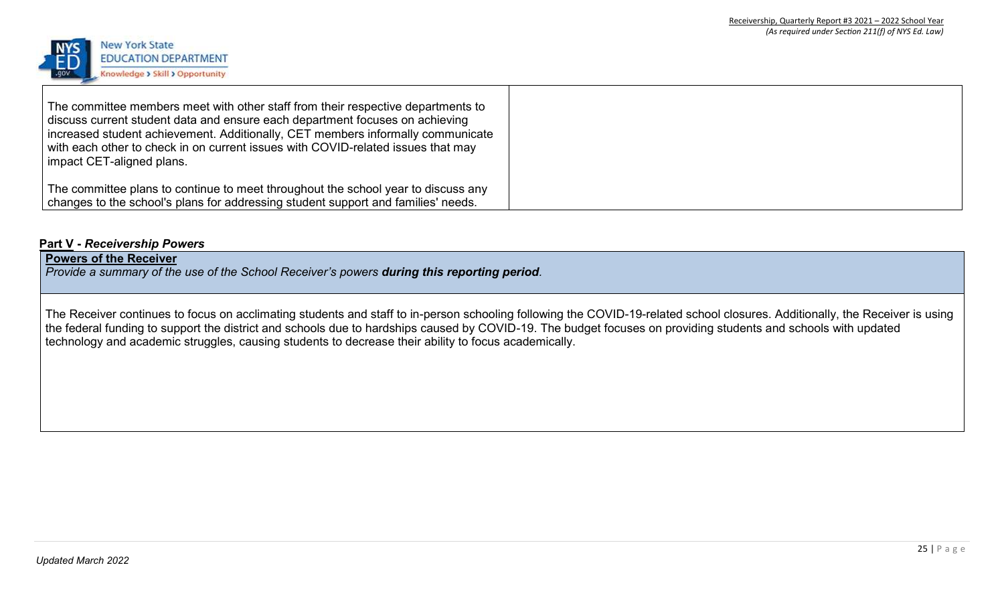

| The committee members meet with other staff from their respective departments to<br>discuss current student data and ensure each department focuses on achieving<br>  increased student achievement. Additionally, CET members informally communicate<br>with each other to check in on current issues with COVID-related issues that may<br>  impact CET-aligned plans. |  |
|--------------------------------------------------------------------------------------------------------------------------------------------------------------------------------------------------------------------------------------------------------------------------------------------------------------------------------------------------------------------------|--|
| The committee plans to continue to meet throughout the school year to discuss any<br>changes to the school's plans for addressing student support and families' needs.                                                                                                                                                                                                   |  |

### **Part V -** *Receivership Powers*

### **Powers of the Receiver**

*Provide a summary of the use of the School Receiver's powers during this reporting period.* 

The Receiver continues to focus on acclimating students and staff to in-person schooling following the COVID-19-related school closures. Additionally, the Receiver is using the federal funding to support the district and schools due to hardships caused by COVID-19. The budget focuses on providing students and schools with updated technology and academic struggles, causing students to decrease their ability to focus academically.